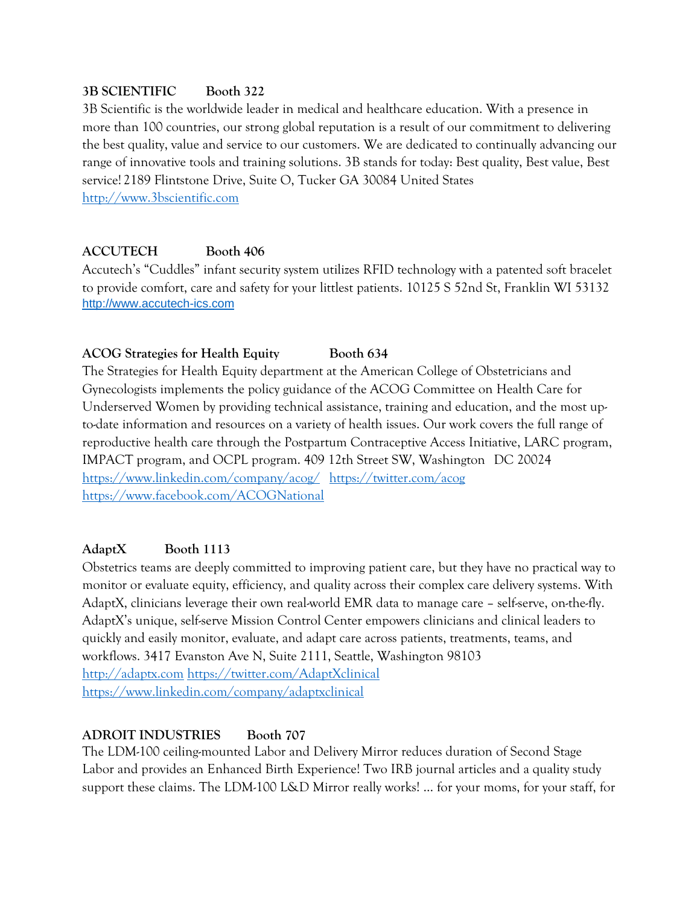## **3B SCIENTIFIC Booth 322**

3B Scientific is the worldwide leader in medical and healthcare education. With a presence in more than 100 countries, our strong global reputation is a result of our commitment to delivering the best quality, value and service to our customers. We are dedicated to continually advancing our range of innovative tools and training solutions. 3B stands for today: Best quality, Best value, Best service! 2189 Flintstone Drive, Suite O, Tucker GA 30084 United States [http://www.3bscientific.com](http://www.3bscientific.com/)

## **ACCUTECH Booth 406**

Accutech's "Cuddles" infant security system utilizes RFID technology with a patented soft bracelet to provide comfort, care and safety for your littlest patients. 10125 S 52nd St, Franklin WI 53132 [http://www.accutech-ics.com](http://www.accutech-ics.com/)

#### **ACOG Strategies for Health Equity Booth 634**

The Strategies for Health Equity department at the American College of Obstetricians and Gynecologists implements the policy guidance of the ACOG Committee on Health Care for Underserved Women by providing technical assistance, training and education, and the most upto-date information and resources on a variety of health issues. Our work covers the full range of reproductive health care through the Postpartum Contraceptive Access Initiative, LARC program, IMPACT program, and OCPL program. 409 12th Street SW, Washington DC 20024 <https://www.linkedin.com/company/acog/> <https://twitter.com/acog> <https://www.facebook.com/ACOGNational>

#### **AdaptX Booth 1113**

Obstetrics teams are deeply committed to improving patient care, but they have no practical way to monitor or evaluate equity, efficiency, and quality across their complex care delivery systems. With AdaptX, clinicians leverage their own real-world EMR data to manage care – self-serve, on-the-fly. AdaptX's unique, self-serve Mission Control Center empowers clinicians and clinical leaders to quickly and easily monitor, evaluate, and adapt care across patients, treatments, teams, and workflows. 3417 Evanston Ave N, Suite 2111, Seattle, Washington 98103 [http://adaptx.com](http://adaptx.com/) <https://twitter.com/AdaptXclinical> <https://www.linkedin.com/company/adaptxclinical>

#### **ADROIT INDUSTRIES Booth 707**

The LDM-100 ceiling-mounted Labor and Delivery Mirror reduces duration of Second Stage Labor and provides an Enhanced Birth Experience! Two IRB journal articles and a quality study support these claims. The LDM-100 L&D Mirror really works! … for your moms, for your staff, for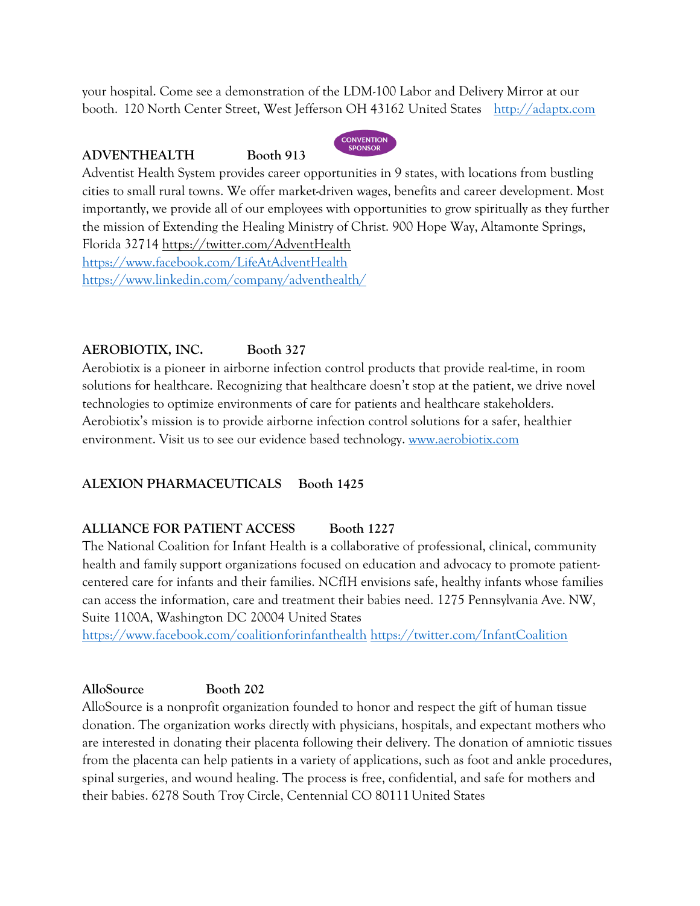your hospital. Come see a demonstration of the LDM-100 Labor and Delivery Mirror at our booth. 120 North Center Street, West Jefferson OH 43162 United States [http://adaptx.com](http://adaptx.com/)

#### **ADVENTHEALTH Booth 913**



Adventist Health System provides career opportunities in 9 states, with locations from bustling cities to small rural towns. We offer market-driven wages, benefits and career development. Most importantly, we provide all of our employees with opportunities to grow spiritually as they further the mission of Extending the Healing Ministry of Christ. 900 Hope Way, Altamonte Springs, Florida 32714<https://twitter.com/AdventHealth>

<https://www.facebook.com/LifeAtAdventHealth> <https://www.linkedin.com/company/adventhealth/>

## **AEROBIOTIX, INC. Booth 327**

Aerobiotix is a pioneer in airborne infection control products that provide real-time, in room solutions for healthcare. Recognizing that healthcare doesn't stop at the patient, we drive novel technologies to optimize environments of care for patients and healthcare stakeholders. Aerobiotix's mission is to provide airborne infection control solutions for a safer, healthier environment. Visit us to see our evidence based technology. [www.aerobiotix.com](http://www.aerobiotix.com/)

## **ALEXION PHARMACEUTICALS Booth 1425**

## **ALLIANCE FOR PATIENT ACCESS Booth 1227**

The National Coalition for Infant Health is a collaborative of professional, clinical, community health and family support organizations focused on education and advocacy to promote patientcentered care for infants and their families. NCfIH envisions safe, healthy infants whose families can access the information, care and treatment their babies need. 1275 Pennsylvania Ave. NW, Suite 1100A, Washington DC 20004 United States

<https://www.facebook.com/coalitionforinfanthealth> <https://twitter.com/InfantCoalition>

#### **AlloSource Booth 202**

AlloSource is a nonprofit organization founded to honor and respect the gift of human tissue donation. The organization works directly with physicians, hospitals, and expectant mothers who are interested in donating their placenta following their delivery. The donation of amniotic tissues from the placenta can help patients in a variety of applications, such as foot and ankle procedures, spinal surgeries, and wound healing. The process is free, confidential, and safe for mothers and their babies. 6278 South Troy Circle, Centennial CO 80111United States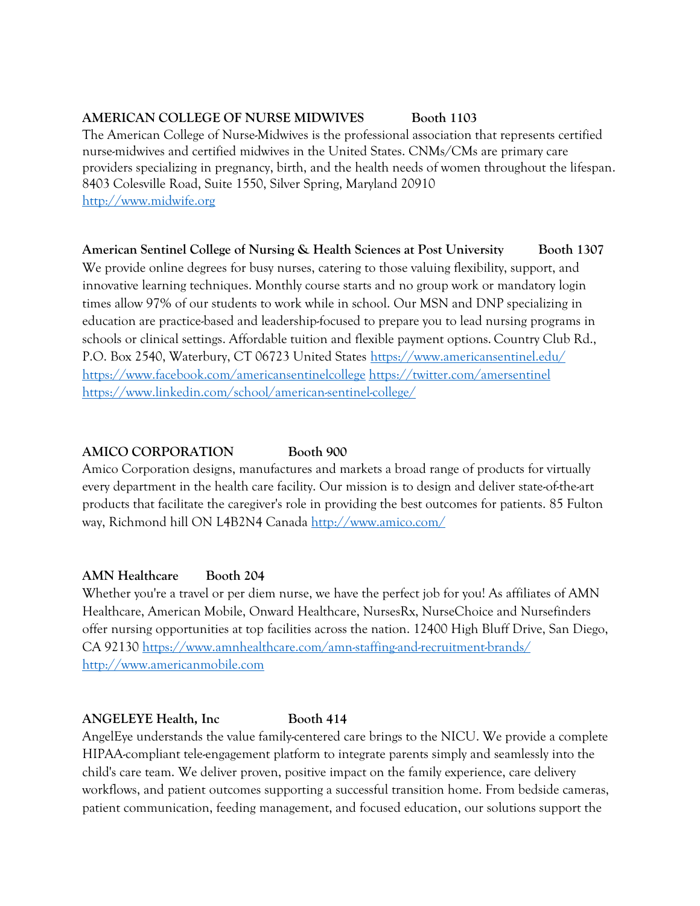#### **AMERICAN COLLEGE OF NURSE MIDWIVES Booth 1103**

The American College of Nurse-Midwives is the professional association that represents certified nurse-midwives and certified midwives in the United States. CNMs/CMs are primary care providers specializing in pregnancy, birth, and the health needs of women throughout the lifespan. 8403 Colesville Road, Suite 1550, Silver Spring, Maryland 20910 [http://www.midwife.org](http://www.midwife.org/)

#### American Sentinel College of Nursing & Health Sciences at Post University **Booth 1307**

We provide online degrees for busy nurses, catering to those valuing flexibility, support, and innovative learning techniques. Monthly course starts and no group work or mandatory login times allow 97% of our students to work while in school. Our MSN and DNP specializing in education are practice-based and leadership-focused to prepare you to lead nursing programs in schools or clinical settings. Affordable tuition and flexible payment options. Country Club Rd., P.O. Box 2540, Waterbury, CT 06723 United States <https://www.americansentinel.edu/> <https://www.facebook.com/americansentinelcollege> <https://twitter.com/amersentinel> <https://www.linkedin.com/school/american-sentinel-college/>

#### **AMICO CORPORATION Booth 900**

Amico Corporation designs, manufactures and markets a broad range of products for virtually every department in the health care facility. Our mission is to design and deliver state-of-the-art products that facilitate the caregiver's role in providing the best outcomes for patients. 85 Fulton way, Richmond hill ON L4B2N4 Canada <http://www.amico.com/>

## **AMN Healthcare Booth 204**

Whether you're a travel or per diem nurse, we have the perfect job for you! As affiliates of AMN Healthcare, American Mobile, Onward Healthcare, NursesRx, NurseChoice and Nursefinders offer nursing opportunities at top facilities across the nation. 12400 High Bluff Drive, San Diego, CA 92130<https://www.amnhealthcare.com/amn-staffing-and-recruitment-brands/> [http://www.americanmobile.com](http://www.americanmobile.com/)

## **ANGELEYE Health, Inc Booth 414**

AngelEye understands the value family-centered care brings to the NICU. We provide a complete HIPAA-compliant tele-engagement platform to integrate parents simply and seamlessly into the child's care team. We deliver proven, positive impact on the family experience, care delivery workflows, and patient outcomes supporting a successful transition home. From bedside cameras, patient communication, feeding management, and focused education, our solutions support the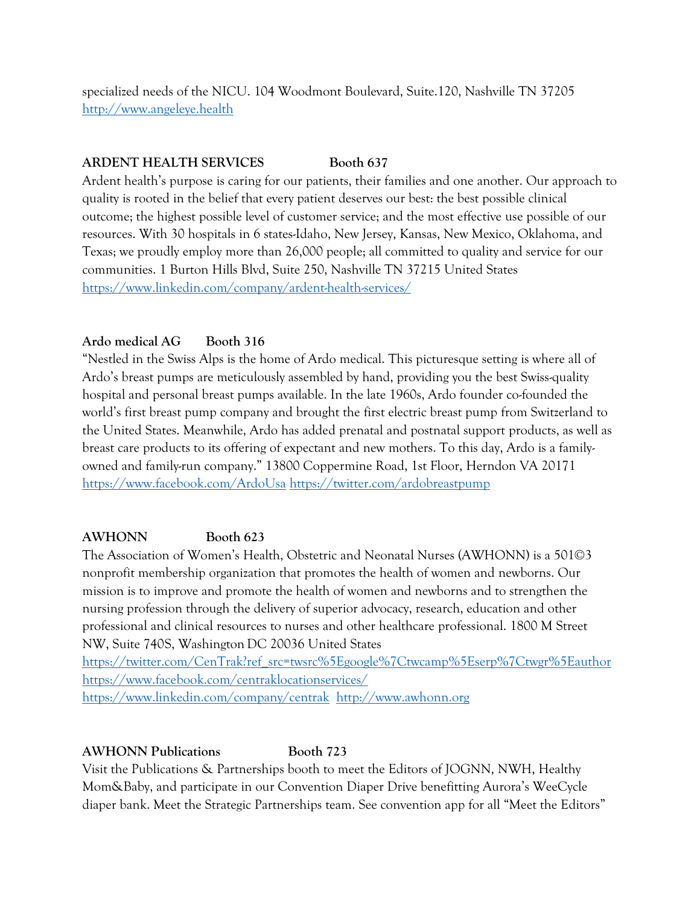specialized needs of the NICU. 104 Woodmont Boulevard, Suite.120, Nashville TN 37205 [http://www.angeleye.health](http://www.angeleye.health/)

## **ARDENT HEALTH SERVICES Booth 637**

Ardent health's purpose is caring for our patients, their families and one another. Our approach to quality is rooted in the belief that every patient deserves our best: the best possible clinical outcome; the highest possible level of customer service; and the most effective use possible of our resources. With 30 hospitals in 6 states-Idaho, New Jersey, Kansas, New Mexico, Oklahoma, and Texas; we proudly employ more than 26,000 people; all committed to quality and service for our communities. 1 Burton Hills Blvd, Suite 250, Nashville TN 37215 United States <https://www.linkedin.com/company/ardent-health-services/>

## **Ardo medical AG Booth 316**

"Nestled in the Swiss Alps is the home of Ardo medical. This picturesque setting is where all of Ardo's breast pumps are meticulously assembled by hand, providing you the best Swiss-quality hospital and personal breast pumps available. In the late 1960s, Ardo founder co-founded the world's first breast pump company and brought the first electric breast pump from Switzerland to the United States. Meanwhile, Ardo has added prenatal and postnatal support products, as well as breast care products to its offering of expectant and new mothers. To this day, Ardo is a familyowned and family-run company." 13800 Coppermine Road, 1st Floor, Herndon VA 20171 <https://www.facebook.com/ArdoUsa> <https://twitter.com/ardobreastpump>

# **AWHONN Booth 623**

The Association of Women's Health, Obstetric and Neonatal Nurses (AWHONN) is a 501©3 nonprofit membership organization that promotes the health of women and newborns. Our mission is to improve and promote the health of women and newborns and to strengthen the nursing profession through the delivery of superior advocacy, research, education and other professional and clinical resources to nurses and other healthcare professional. 1800 M Street NW, Suite 740S, Washington DC 20036 United States

[https://twitter.com/CenTrak?ref\\_src=twsrc%5Egoogle%7Ctwcamp%5Eserp%7Ctwgr%5Eauthor](https://twitter.com/CenTrak?ref_src=twsrc%5Egoogle%7Ctwcamp%5Eserp%7Ctwgr%5Eauthorhttps://www.facebook.com/centraklocationservices/) [https://www.facebook.com/centraklocationservices/](https://twitter.com/CenTrak?ref_src=twsrc%5Egoogle%7Ctwcamp%5Eserp%7Ctwgr%5Eauthorhttps://www.facebook.com/centraklocationservices/) <https://www.linkedin.com/company/centrak>[http://www.awhonn.org](http://www.awhonn.org/)

**AWHONN Publications Booth 723**

Visit the Publications & Partnerships booth to meet the Editors of JOGNN, NWH, Healthy Mom&Baby, and participate in our Convention Diaper Drive benefitting Aurora's WeeCycle diaper bank. Meet the Strategic Partnerships team. See convention app for all "Meet the Editors"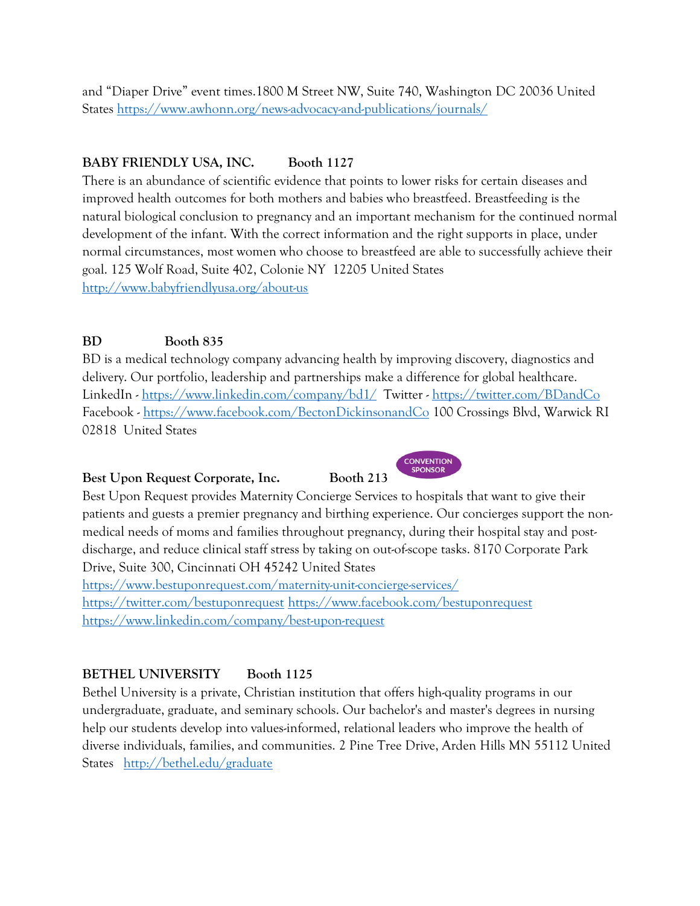and "Diaper Drive" event times.1800 M Street NW, Suite 740, Washington DC 20036 United States <https://www.awhonn.org/news-advocacy-and-publications/journals/>

# **BABY FRIENDLY USA, INC. Booth 1127**

There is an abundance of scientific evidence that points to lower risks for certain diseases and improved health outcomes for both mothers and babies who breastfeed. Breastfeeding is the natural biological conclusion to pregnancy and an important mechanism for the continued normal development of the infant. With the correct information and the right supports in place, under normal circumstances, most women who choose to breastfeed are able to successfully achieve their goal. 125 Wolf Road, Suite 402, Colonie NY 12205 United States <http://www.babyfriendlyusa.org/about-us>

## **BD Booth 835**

BD is a medical technology company advancing health by improving discovery, diagnostics and delivery. Our portfolio, leadership and partnerships make a difference for global healthcare. LinkedIn - <https://www.linkedin.com/company/bd1/> Twitter - <https://twitter.com/BDandCo> Facebook - <https://www.facebook.com/BectonDickinsonandCo> 100 Crossings Blvd, Warwick RI 02818 United States

## Best Upon Request Corporate, Inc. Booth 213

Best Upon Request provides Maternity Concierge Services to hospitals that want to give their patients and guests a premier pregnancy and birthing experience. Our concierges support the nonmedical needs of moms and families throughout pregnancy, during their hospital stay and postdischarge, and reduce clinical staff stress by taking on out-of-scope tasks. 8170 Corporate Park Drive, Suite 300, Cincinnati OH 45242 United States

<https://www.bestuponrequest.com/maternity-unit-concierge-services/> <https://twitter.com/bestuponrequest> <https://www.facebook.com/bestuponrequest> <https://www.linkedin.com/company/best-upon-request>

# **BETHEL UNIVERSITY Booth 1125**

Bethel University is a private, Christian institution that offers high-quality programs in our undergraduate, graduate, and seminary schools. Our bachelor's and master's degrees in nursing help our students develop into values-informed, relational leaders who improve the health of diverse individuals, families, and communities. 2 Pine Tree Drive, Arden Hills MN 55112 United States <http://bethel.edu/graduate>

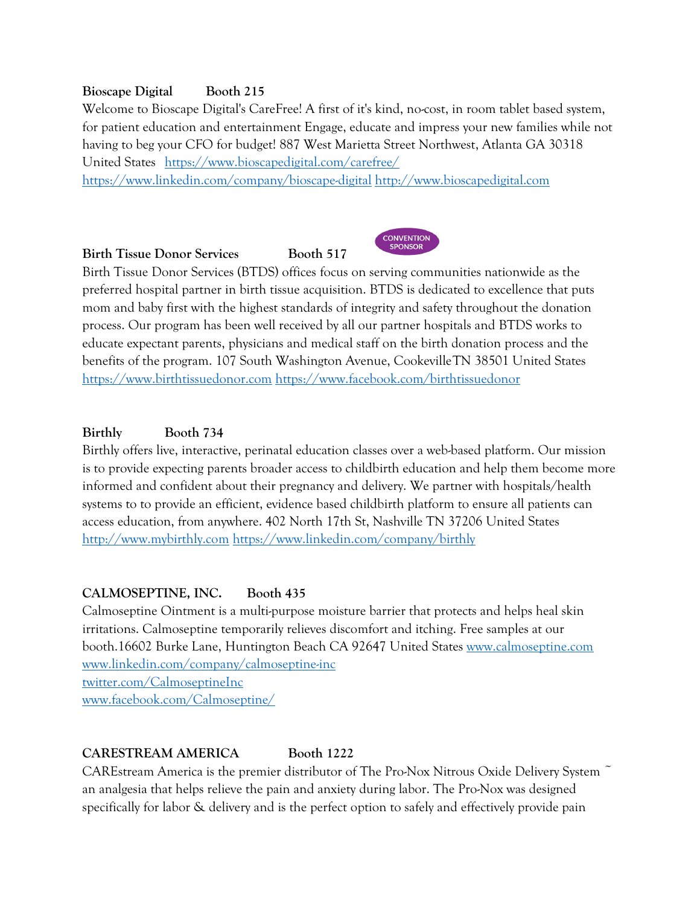## **Bioscape Digital Booth 215**

Welcome to Bioscape Digital's CareFree! A first of it's kind, no-cost, in room tablet based system, for patient education and entertainment Engage, educate and impress your new families while not having to beg your CFO for budget! 887 West Marietta Street Northwest, Atlanta GA 30318 United States <https://www.bioscapedigital.com/carefree/>

<https://www.linkedin.com/company/bioscape-digital> [http://www.bioscapedigital.com](http://www.bioscapedigital.com/)

#### **Birth Tissue Donor Services Booth 517**



Birth Tissue Donor Services (BTDS) offices focus on serving communities nationwide as the preferred hospital partner in birth tissue acquisition. BTDS is dedicated to excellence that puts mom and baby first with the highest standards of integrity and safety throughout the donation process. Our program has been well received by all our partner hospitals and BTDS works to educate expectant parents, physicians and medical staff on the birth donation process and the benefits of the program. 107 South Washington Avenue, CookevilleTN 38501 United States [https://www.birthtissuedonor.com](https://www.birthtissuedonor.com/) <https://www.facebook.com/birthtissuedonor>

## **Birthly Booth 734**

Birthly offers live, interactive, perinatal education classes over a web-based platform. Our mission is to provide expecting parents broader access to childbirth education and help them become more informed and confident about their pregnancy and delivery. We partner with hospitals/health systems to to provide an efficient, evidence based childbirth platform to ensure all patients can access education, from anywhere. 402 North 17th St, Nashville TN 37206 United States [http://www.mybirthly.com](http://www.mybirthly.com/) <https://www.linkedin.com/company/birthly>

## **CALMOSEPTINE, INC. Booth 435**

Calmoseptine Ointment is a multi-purpose moisture barrier that protects and helps heal skin irritations. Calmoseptine temporarily relieves discomfort and itching. Free samples at our booth.16602 Burke Lane, Huntington Beach CA 92647 United States [www.calmoseptine.com](http://www.calmoseptine.com/) [www.linkedin.com/company/calmoseptine-inc](http://www.linkedin.com/company/calmoseptine-inc) [twitter.com/CalmoseptineInc](https://twitter.com/CalmoseptineInc) [www.facebook.com/Calmoseptine/](http://www.facebook.com/Calmoseptine/)

## **CARESTREAM AMERICA** Booth 1222

CAREstream America is the premier distributor of The Pro-Nox Nitrous Oxide Delivery System ~ an analgesia that helps relieve the pain and anxiety during labor. The Pro-Nox was designed specifically for labor & delivery and is the perfect option to safely and effectively provide pain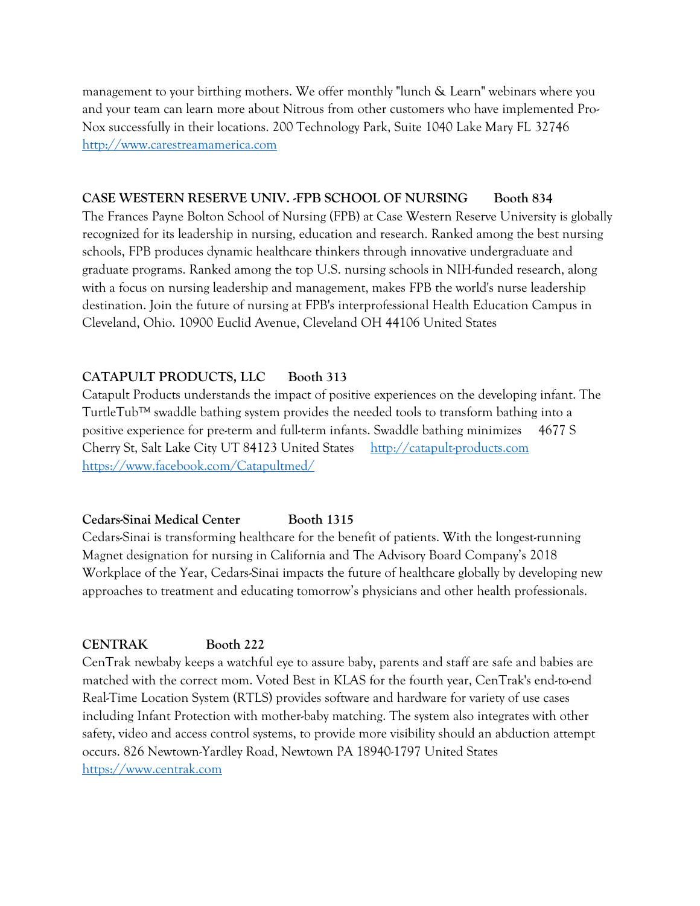management to your birthing mothers. We offer monthly "lunch & Learn" webinars where you and your team can learn more about Nitrous from other customers who have implemented Pro-Nox successfully in their locations. 200 Technology Park, Suite 1040 Lake Mary FL 32746 [http://www.carestreamamerica.com](http://www.carestreamamerica.com/)

#### **CASE WESTERN RESERVE UNIV. -FPB SCHOOL OF NURSING Booth 834**

The Frances Payne Bolton School of Nursing (FPB) at Case Western Reserve University is globally recognized for its leadership in nursing, education and research. Ranked among the best nursing schools, FPB produces dynamic healthcare thinkers through innovative undergraduate and graduate programs. Ranked among the top U.S. nursing schools in NIH-funded research, along with a focus on nursing leadership and management, makes FPB the world's nurse leadership destination. Join the future of nursing at FPB's interprofessional Health Education Campus in Cleveland, Ohio. 10900 Euclid Avenue, Cleveland OH 44106 United States

#### **CATAPULT PRODUCTS, LLC Booth 313**

Catapult Products understands the impact of positive experiences on the developing infant. The TurtleTub™ swaddle bathing system provides the needed tools to transform bathing into a positive experience for pre-term and full-term infants. Swaddle bathing minimizes 4677 S Cherry St, Salt Lake City UT 84123 United States [http://catapult-products.com](http://catapult-products.com/) <https://www.facebook.com/Catapultmed/>

#### **Cedars-Sinai Medical Center Booth 1315**

Cedars-Sinai is transforming healthcare for the benefit of patients. With the longest-running Magnet designation for nursing in California and The Advisory Board Company's 2018 Workplace of the Year, Cedars-Sinai impacts the future of healthcare globally by developing new approaches to treatment and educating tomorrow's physicians and other health professionals.

#### **CENTRAK Booth 222**

CenTrak newbaby keeps a watchful eye to assure baby, parents and staff are safe and babies are matched with the correct mom. Voted Best in KLAS for the fourth year, CenTrak's end-to-end Real-Time Location System (RTLS) provides software and hardware for variety of use cases including Infant Protection with mother-baby matching. The system also integrates with other safety, video and access control systems, to provide more visibility should an abduction attempt occurs. 826 Newtown-Yardley Road, Newtown PA 18940-1797 United States [https://www.centrak.com](https://www.centrak.com/)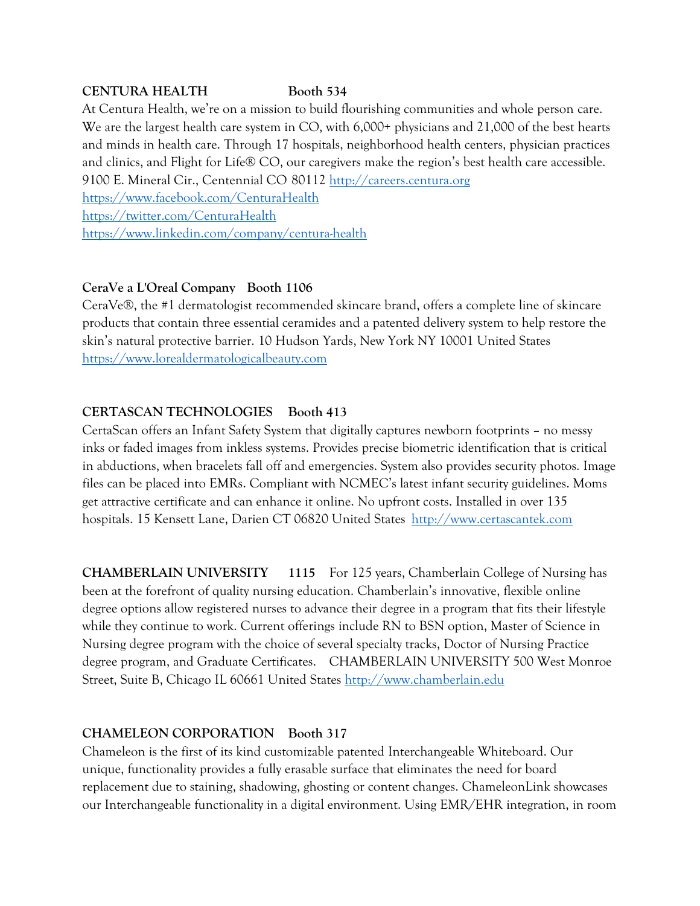#### **CENTURA HEALTH Booth 534**

At Centura Health, we're on a mission to build flourishing communities and whole person care. We are the largest health care system in CO, with 6,000+ physicians and 21,000 of the best hearts and minds in health care. Through 17 hospitals, neighborhood health centers, physician practices and clinics, and Flight for Life® CO, our caregivers make the region's best health care accessible. 9100 E. Mineral Cir., Centennial CO 80112 [http://careers.centura.org](http://careers.centura.org/) <https://www.facebook.com/CenturaHealth> <https://twitter.com/CenturaHealth> <https://www.linkedin.com/company/centura-health>

#### **CeraVe a L'Oreal Company Booth 1106**

CeraVe®, the #1 dermatologist recommended skincare brand, offers a complete line of skincare products that contain three essential ceramides and a patented delivery system to help restore the skin's natural protective barrier. 10 Hudson Yards, New York NY 10001 United States [https://www.lorealdermatologicalbeauty.com](https://www.lorealdermatologicalbeauty.com/)

#### **CERTASCAN TECHNOLOGIES Booth 413**

CertaScan offers an Infant Safety System that digitally captures newborn footprints – no messy inks or faded images from inkless systems. Provides precise biometric identification that is critical in abductions, when bracelets fall off and emergencies. System also provides security photos. Image files can be placed into EMRs. Compliant with NCMEC's latest infant security guidelines. Moms get attractive certificate and can enhance it online. No upfront costs. Installed in over 135 hospitals. 15 Kensett Lane, Darien CT 06820 United States [http://www.certascantek.com](http://www.certascantek.com/)

**CHAMBERLAIN UNIVERSITY 1115** For 125 years, Chamberlain College of Nursing has been at the forefront of quality nursing education. Chamberlain's innovative, flexible online degree options allow registered nurses to advance their degree in a program that fits their lifestyle while they continue to work. Current offerings include RN to BSN option, Master of Science in Nursing degree program with the choice of several specialty tracks, Doctor of Nursing Practice degree program, and Graduate Certificates. CHAMBERLAIN UNIVERSITY 500 West Monroe Street, Suite B, Chicago IL 60661 United States [http://www.chamberlain.edu](http://www.chamberlain.edu/)

#### **CHAMELEON CORPORATION Booth 317**

Chameleon is the first of its kind customizable patented Interchangeable Whiteboard. Our unique, functionality provides a fully erasable surface that eliminates the need for board replacement due to staining, shadowing, ghosting or content changes. ChameleonLink showcases our Interchangeable functionality in a digital environment. Using EMR/EHR integration, in room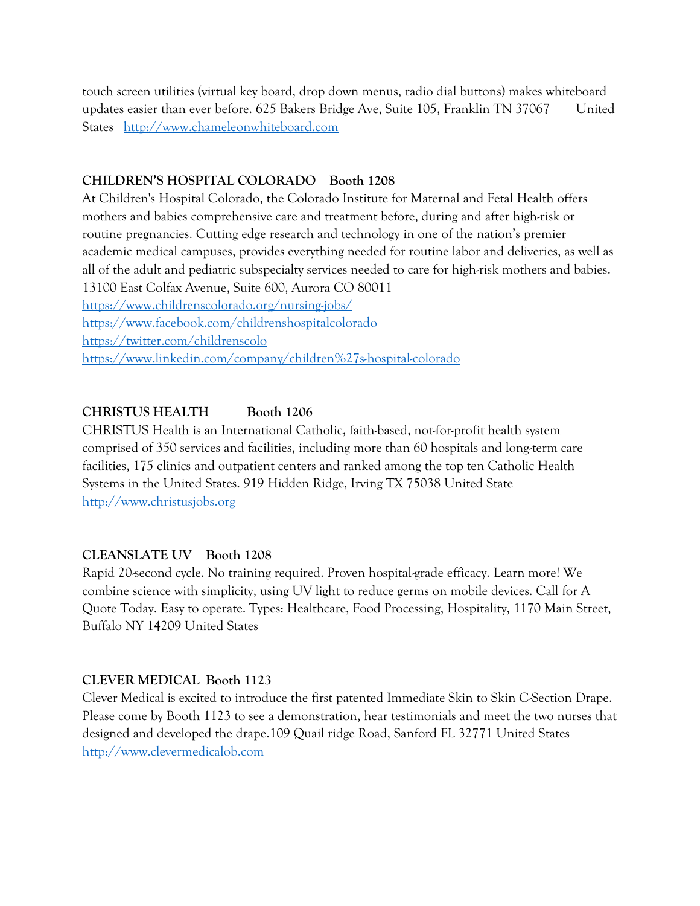touch screen utilities (virtual key board, drop down menus, radio dial buttons) makes whiteboard updates easier than ever before. 625 Bakers Bridge Ave, Suite 105, Franklin TN 37067 United States [http://www.chameleonwhiteboard.com](http://www.chameleonwhiteboard.com/)

### **CHILDREN'S HOSPITAL COLORADO Booth 1208**

At Children's Hospital Colorado, the Colorado Institute for Maternal and Fetal Health offers mothers and babies comprehensive care and treatment before, during and after high-risk or routine pregnancies. Cutting edge research and technology in one of the nation's premier academic medical campuses, provides everything needed for routine labor and deliveries, as well as all of the adult and pediatric subspecialty services needed to care for high-risk mothers and babies. 13100 East Colfax Avenue, Suite 600, Aurora CO 80011 <https://www.childrenscolorado.org/nursing-jobs/> <https://www.facebook.com/childrenshospitalcolorado> <https://twitter.com/childrenscolo> <https://www.linkedin.com/company/children%27s-hospital-colorado>

# **CHRISTUS HEALTH Booth 1206**

CHRISTUS Health is an International Catholic, faith-based, not-for-profit health system comprised of 350 services and facilities, including more than 60 hospitals and long-term care facilities, 175 clinics and outpatient centers and ranked among the top ten Catholic Health Systems in the United States. 919 Hidden Ridge, Irving TX 75038 United State [http://www.christusjobs.org](http://www.christusjobs.org/)

## **CLEANSLATE UV Booth 1208**

Rapid 20-second cycle. No training required. Proven hospital-grade efficacy. Learn more! We combine science with simplicity, using UV light to reduce germs on mobile devices. Call for A Quote Today. Easy to operate. Types: Healthcare, Food Processing, Hospitality, 1170 Main Street, Buffalo NY 14209 United States

## **CLEVER MEDICAL Booth 1123**

Clever Medical is excited to introduce the first patented Immediate Skin to Skin C-Section Drape. Please come by Booth 1123 to see a demonstration, hear testimonials and meet the two nurses that designed and developed the drape.109 Quail ridge Road, Sanford FL 32771 United States [http://www.clevermedicalob.com](http://www.clevermedicalob.com/)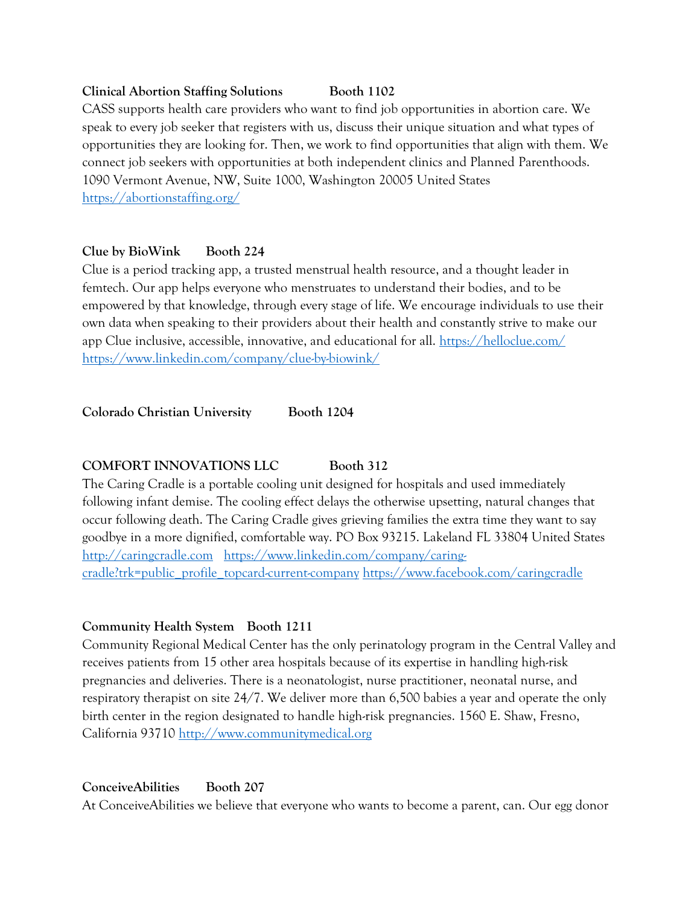#### **Clinical Abortion Staffing Solutions Booth 1102**

CASS supports health care providers who want to find job opportunities in abortion care. We speak to every job seeker that registers with us, discuss their unique situation and what types of opportunities they are looking for. Then, we work to find opportunities that align with them. We connect job seekers with opportunities at both independent clinics and Planned Parenthoods. 1090 Vermont Avenue, NW, Suite 1000, Washington 20005 United States <https://abortionstaffing.org/>

#### **Clue by BioWink Booth 224**

Clue is a period tracking app, a trusted menstrual health resource, and a thought leader in femtech. Our app helps everyone who menstruates to understand their bodies, and to be empowered by that knowledge, through every stage of life. We encourage individuals to use their own data when speaking to their providers about their health and constantly strive to make our app Clue inclusive, accessible, innovative, and educational for all.<https://helloclue.com/> <https://www.linkedin.com/company/clue-by-biowink/>

#### **Colorado Christian University Booth 1204**

#### **COMFORT INNOVATIONS LLC** Booth 312

The Caring Cradle is a portable cooling unit designed for hospitals and used immediately following infant demise. The cooling effect delays the otherwise upsetting, natural changes that occur following death. The Caring Cradle gives grieving families the extra time they want to say goodbye in a more dignified, comfortable way. PO Box 93215. Lakeland FL 33804 United States [http://caringcradle.com](http://caringcradle.com/) [https://www.linkedin.com/company/caring](https://www.linkedin.com/company/caring-cradle?trk=public_profile_topcard-current-company)[cradle?trk=public\\_profile\\_topcard-current-company](https://www.linkedin.com/company/caring-cradle?trk=public_profile_topcard-current-company) <https://www.facebook.com/caringcradle>

#### **Community Health System Booth 1211**

Community Regional Medical Center has the only perinatology program in the Central Valley and receives patients from 15 other area hospitals because of its expertise in handling high-risk pregnancies and deliveries. There is a neonatologist, nurse practitioner, neonatal nurse, and respiratory therapist on site 24/7. We deliver more than 6,500 babies a year and operate the only birth center in the region designated to handle high-risk pregnancies. 1560 E. Shaw, Fresno, California 93710 [http://www.communitymedical.org](http://www.communitymedical.org/)

#### **ConceiveAbilities Booth 207**

At ConceiveAbilities we believe that everyone who wants to become a parent, can. Our egg donor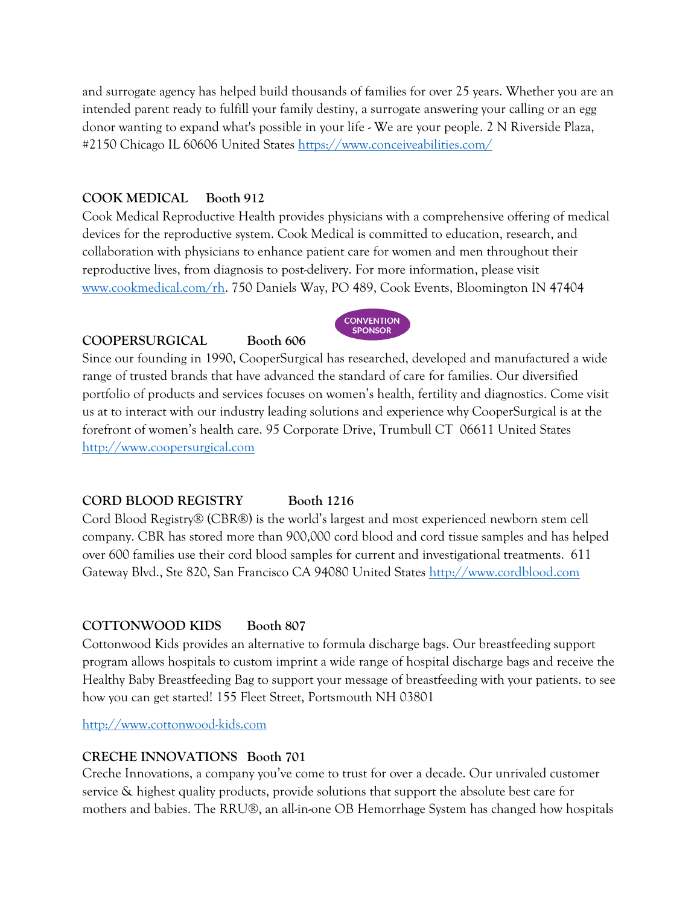and surrogate agency has helped build thousands of families for over 25 years. Whether you are an intended parent ready to fulfill your family destiny, a surrogate answering your calling or an egg donor wanting to expand what's possible in your life - We are your people. 2 N Riverside Plaza, #2150 Chicago IL 60606 United States<https://www.conceiveabilities.com/>

#### **COOK MEDICAL Booth 912**

Cook Medical Reproductive Health provides physicians with a comprehensive offering of medical devices for the reproductive system. Cook Medical is committed to education, research, and collaboration with physicians to enhance patient care for women and men throughout their reproductive lives, from diagnosis to post-delivery. For more information, please visit [www.cookmedical.com/rh.](http://www.cookmedical.com/rh) 750 Daniels Way, PO 489, Cook Events, Bloomington IN 47404

#### **COOPERSURGICAL Booth 606**



Since our founding in 1990, CooperSurgical has researched, developed and manufactured a wide range of trusted brands that have advanced the standard of care for families. Our diversified portfolio of products and services focuses on women's health, fertility and diagnostics. Come visit us at to interact with our industry leading solutions and experience why CooperSurgical is at the forefront of women's health care. 95 Corporate Drive, Trumbull CT 06611 United States [http://www.coopersurgical.com](http://www.coopersurgical.com/)

#### **CORD BLOOD REGISTRY Booth 1216**

Cord Blood Registry® (CBR®) is the world's largest and most experienced newborn stem cell company. CBR has stored more than 900,000 cord blood and cord tissue samples and has helped over 600 families use their cord blood samples for current and investigational treatments. 611 Gateway Blvd., Ste 820, San Francisco CA 94080 United States [http://www.cordblood.com](http://www.cordblood.com/)

#### **COTTONWOOD KIDS Booth 807**

Cottonwood Kids provides an alternative to formula discharge bags. Our breastfeeding support program allows hospitals to custom imprint a wide range of hospital discharge bags and receive the Healthy Baby Breastfeeding Bag to support your message of breastfeeding with your patients. to see how you can get started! 155 Fleet Street, Portsmouth NH 03801

[http://www.cottonwood-kids.com](http://www.cottonwood-kids.com/)

#### **CRECHE INNOVATIONS Booth 701**

Creche Innovations, a company you've come to trust for over a decade. Our unrivaled customer service & highest quality products, provide solutions that support the absolute best care for mothers and babies. The RRU®, an all-in-one OB Hemorrhage System has changed how hospitals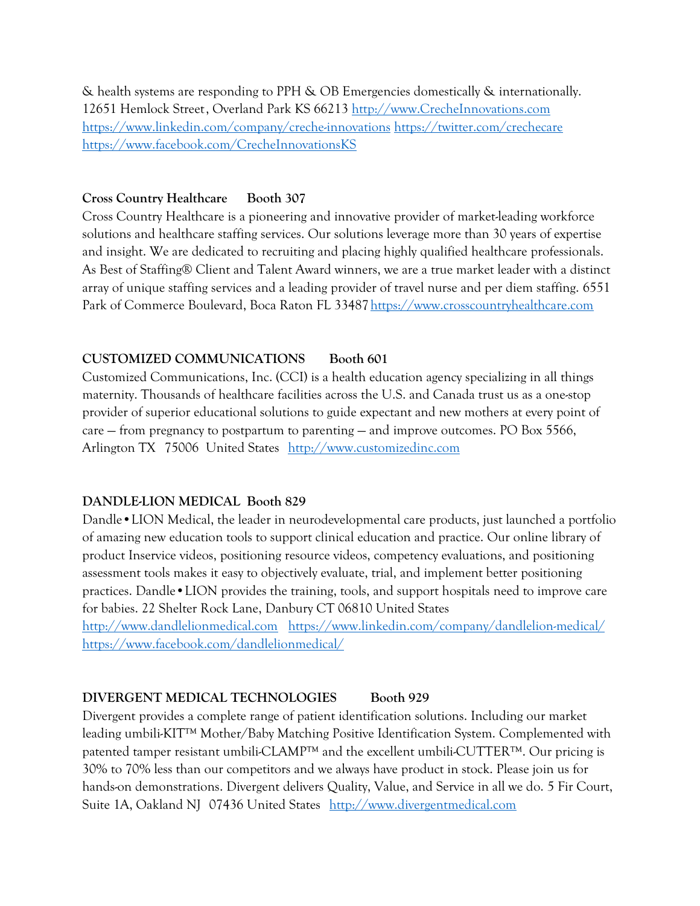& health systems are responding to PPH & OB Emergencies domestically & internationally. 12651 Hemlock Street, Overland Park KS 66213 [http://www.CrecheInnovations.com](http://www.crecheinnovations.com/) <https://www.linkedin.com/company/creche-innovations> <https://twitter.com/crechecare> <https://www.facebook.com/CrecheInnovationsKS>

#### **Cross Country Healthcare Booth 307**

Cross Country Healthcare is a pioneering and innovative provider of market-leading workforce solutions and healthcare staffing services. Our solutions leverage more than 30 years of expertise and insight. We are dedicated to recruiting and placing highly qualified healthcare professionals. As Best of Staffing® Client and Talent Award winners, we are a true market leader with a distinct array of unique staffing services and a leading provider of travel nurse and per diem staffing. 6551 Park of Commerce Boulevard, Boca Raton FL 33487 https://www.crosscountryhealthcare.com

#### **CUSTOMIZED COMMUNICATIONS Booth 601**

Customized Communications, Inc. (CCI) is a health education agency specializing in all things maternity. Thousands of healthcare facilities across the U.S. and Canada trust us as a one-stop provider of superior educational solutions to guide expectant and new mothers at every point of care — from pregnancy to postpartum to parenting — and improve outcomes. PO Box 5566, Arlington TX 75006 United States [http://www.customizedinc.com](http://www.customizedinc.com/)

#### **DANDLE-LION MEDICAL Booth 829**

Dandle • LION Medical, the leader in neurodevelopmental care products, just launched a portfolio of amazing new education tools to support clinical education and practice. Our online library of product Inservice videos, positioning resource videos, competency evaluations, and positioning assessment tools makes it easy to objectively evaluate, trial, and implement better positioning practices. Dandle•LION provides the training, tools, and support hospitals need to improve care for babies. 22 Shelter Rock Lane, Danbury CT 06810 United States [http://www.dandlelionmedical.com](http://www.dandlelionmedical.com/) <https://www.linkedin.com/company/dandlelion-medical/> <https://www.facebook.com/dandlelionmedical/>

#### **DIVERGENT MEDICAL TECHNOLOGIES** Booth 929

Divergent provides a complete range of patient identification solutions. Including our market leading umbili-KIT™ Mother/Baby Matching Positive Identification System. Complemented with patented tamper resistant umbili-CLAMP™ and the excellent umbili-CUTTER™. Our pricing is 30% to 70% less than our competitors and we always have product in stock. Please join us for hands-on demonstrations. Divergent delivers Quality, Value, and Service in all we do. 5 Fir Court, Suite 1A, Oakland NJ 07436 United States [http://www.divergentmedical.com](http://www.divergentmedical.com/)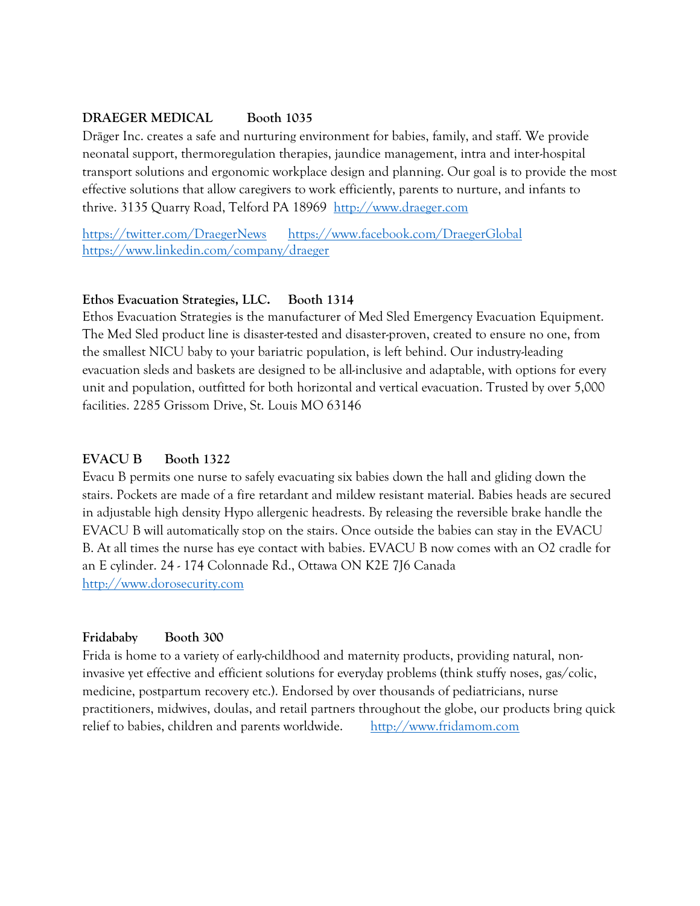#### **DRAEGER MEDICAL Booth 1035**

Dräger Inc. creates a safe and nurturing environment for babies, family, and staff. We provide neonatal support, thermoregulation therapies, jaundice management, intra and inter-hospital transport solutions and ergonomic workplace design and planning. Our goal is to provide the most effective solutions that allow caregivers to work efficiently, parents to nurture, and infants to thrive. 3135 Quarry Road, Telford PA 18969 [http://www.draeger.com](http://www.draeger.com/)

<https://twitter.com/DraegerNews> <https://www.facebook.com/DraegerGlobal> <https://www.linkedin.com/company/draeger>

#### **Ethos Evacuation Strategies, LLC. Booth 1314**

Ethos Evacuation Strategies is the manufacturer of Med Sled Emergency Evacuation Equipment. The Med Sled product line is disaster-tested and disaster-proven, created to ensure no one, from the smallest NICU baby to your bariatric population, is left behind. Our industry-leading evacuation sleds and baskets are designed to be all-inclusive and adaptable, with options for every unit and population, outfitted for both horizontal and vertical evacuation. Trusted by over 5,000 facilities. 2285 Grissom Drive, St. Louis MO 63146

#### **EVACU B Booth 1322**

Evacu B permits one nurse to safely evacuating six babies down the hall and gliding down the stairs. Pockets are made of a fire retardant and mildew resistant material. Babies heads are secured in adjustable high density Hypo allergenic headrests. By releasing the reversible brake handle the EVACU B will automatically stop on the stairs. Once outside the babies can stay in the EVACU B. At all times the nurse has eye contact with babies. EVACU B now comes with an O2 cradle for an E cylinder. 24 - 174 Colonnade Rd., Ottawa ON K2E 7J6 Canada [http://www.dorosecurity.com](http://www.dorosecurity.com/)

#### **Fridababy Booth 300**

Frida is home to a variety of early-childhood and maternity products, providing natural, noninvasive yet effective and efficient solutions for everyday problems (think stuffy noses, gas/colic, medicine, postpartum recovery etc.). Endorsed by over thousands of pediatricians, nurse practitioners, midwives, doulas, and retail partners throughout the globe, our products bring quick relief to babies, children and parents worldwide. [http://www.fridamom.com](http://www.fridamom.com/)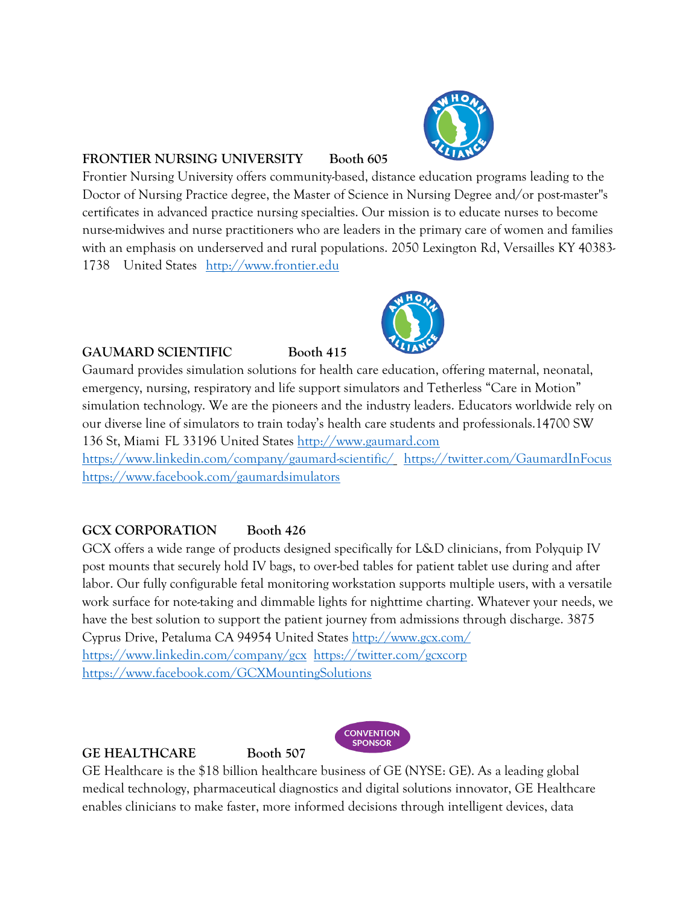

# **FRONTIER NURSING UNIVERSITY Booth 605**

Frontier Nursing University offers community-based, distance education programs leading to the Doctor of Nursing Practice degree, the Master of Science in Nursing Degree and/or post-master''s certificates in advanced practice nursing specialties. Our mission is to educate nurses to become nurse-midwives and nurse practitioners who are leaders in the primary care of women and families with an emphasis on underserved and rural populations. 2050 Lexington Rd, Versailles KY 40383- 1738 United States [http://www.frontier.edu](http://www.frontier.edu/)



Gaumard provides simulation solutions for health care education, offering maternal, neonatal, emergency, nursing, respiratory and life support simulators and Tetherless "Care in Motion" simulation technology. We are the pioneers and the industry leaders. Educators worldwide rely on our diverse line of simulators to train today's health care students and professionals.14700 SW 136 St, Miami FL 33196 United States [http://www.gaumard.com](http://www.gaumard.com/) <https://www.linkedin.com/company/gaumard-scientific/> <https://twitter.com/GaumardInFocus> <https://www.facebook.com/gaumardsimulators>

# **GCX CORPORATION Booth 426**

GCX offers a wide range of products designed specifically for L&D clinicians, from Polyquip IV post mounts that securely hold IV bags, to over-bed tables for patient tablet use during and after labor. Our fully configurable fetal monitoring workstation supports multiple users, with a versatile work surface for note-taking and dimmable lights for nighttime charting. Whatever your needs, we have the best solution to support the patient journey from admissions through discharge. 3875 Cyprus Drive, Petaluma CA 94954 United States <http://www.gcx.com/> <https://www.linkedin.com/company/gcx><https://twitter.com/gcxcorp> <https://www.facebook.com/GCXMountingSolutions>



## **GE HEALTHCARE Booth 507**

GE Healthcare is the \$18 billion healthcare business of GE (NYSE: GE). As a leading global medical technology, pharmaceutical diagnostics and digital solutions innovator, GE Healthcare enables clinicians to make faster, more informed decisions through intelligent devices, data

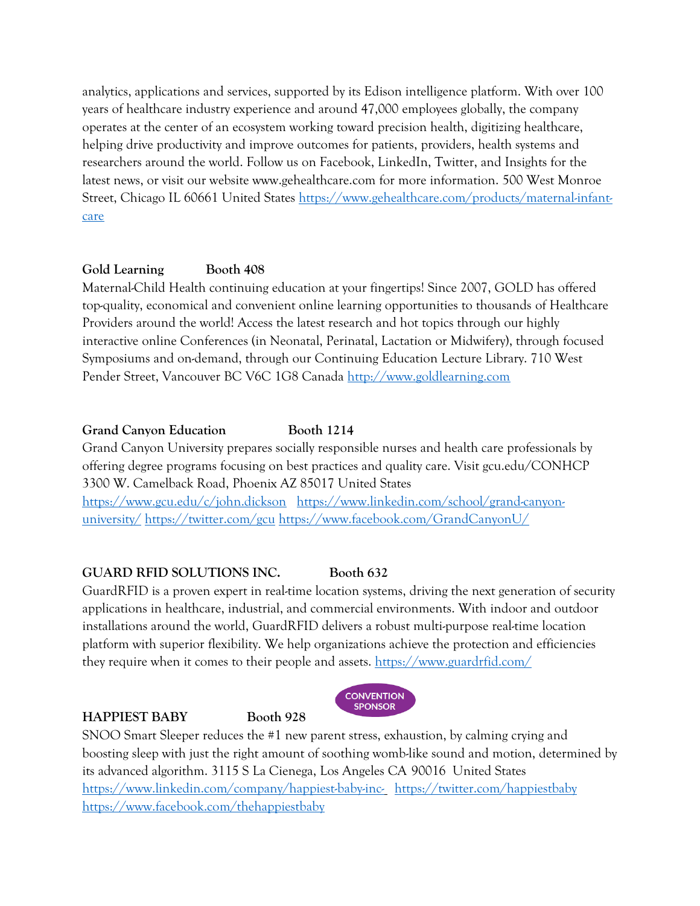analytics, applications and services, supported by its Edison intelligence platform. With over 100 years of healthcare industry experience and around 47,000 employees globally, the company operates at the center of an ecosystem working toward precision health, digitizing healthcare, helping drive productivity and improve outcomes for patients, providers, health systems and researchers around the world. Follow us on Facebook, LinkedIn, Twitter, and Insights for the latest news, or visit our website www.gehealthcare.com for more information. 500 West Monroe Street, Chicago IL 60661 United States [https://www.gehealthcare.com/products/maternal-infant](https://www.gehealthcare.com/products/maternal-infant-care)[care](https://www.gehealthcare.com/products/maternal-infant-care)

## **Gold Learning Booth 408**

Maternal-Child Health continuing education at your fingertips! Since 2007, GOLD has offered top-quality, economical and convenient online learning opportunities to thousands of Healthcare Providers around the world! Access the latest research and hot topics through our highly interactive online Conferences (in Neonatal, Perinatal, Lactation or Midwifery), through focused Symposiums and on-demand, through our Continuing Education Lecture Library. 710 West Pender Street, Vancouver BC V6C 1G8 Canada [http://www.goldlearning.com](http://www.goldlearning.com/)

#### **Grand Canyon Education Booth 1214**

Grand Canyon University prepares socially responsible nurses and health care professionals by offering degree programs focusing on best practices and quality care. Visit gcu.edu/CONHCP 3300 W. Camelback Road, Phoenix AZ 85017 United States <https://www.gcu.edu/c/john.dickson> [https://www.linkedin.com/school/grand-canyon](https://www.linkedin.com/school/grand-canyon-university/)[university/](https://www.linkedin.com/school/grand-canyon-university/) <https://twitter.com/gcu> <https://www.facebook.com/GrandCanyonU/>

## **GUARD RFID SOLUTIONS INC. Booth 632**

GuardRFID is a proven expert in real-time location systems, driving the next generation of security applications in healthcare, industrial, and commercial environments. With indoor and outdoor installations around the world, GuardRFID delivers a robust multi-purpose real-time location platform with superior flexibility. We help organizations achieve the protection and efficiencies they require when it comes to their people and assets. <https://www.guardrfid.com/>



#### **HAPPIEST BABY Booth 928**

SNOO Smart Sleeper reduces the #1 new parent stress, exhaustion, by calming crying and boosting sleep with just the right amount of soothing womb-like sound and motion, determined by its advanced algorithm. 3115 S La Cienega, Los Angeles CA 90016 United States <https://www.linkedin.com/company/happiest-baby-inc-> <https://twitter.com/happiestbaby> <https://www.facebook.com/thehappiestbaby>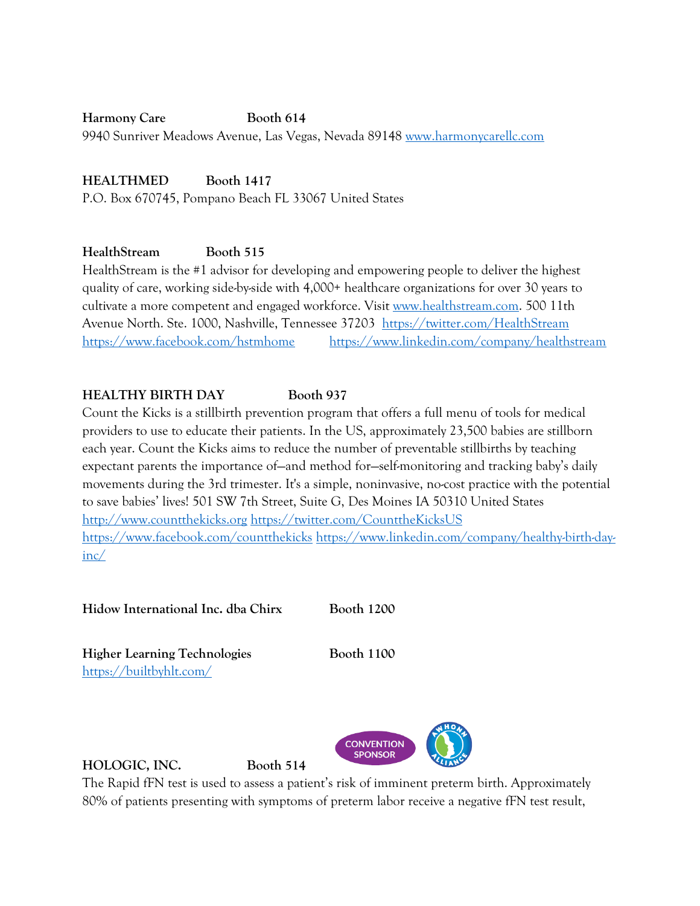**Harmony Care Booth 614** 9940 Sunriver Meadows Avenue, Las Vegas, Nevada 89148 [www.harmonycarellc.com](http://www.harmonycarellc.com/)

# **HEALTHMED Booth 1417**

P.O. Box 670745, Pompano Beach FL 33067 United States

## **HealthStream Booth 515**

HealthStream is the #1 advisor for developing and empowering people to deliver the highest quality of care, working side-by-side with 4,000+ healthcare organizations for over 30 years to cultivate a more competent and engaged workforce. Visit [www.healthstream.com.](http://www.healthstream.com/) 500 11th Avenue North. Ste. 1000, Nashville, Tennessee 37203 <https://twitter.com/HealthStream> <https://www.facebook.com/hstmhome> <https://www.linkedin.com/company/healthstream>

#### **HEALTHY BIRTH DAY** Booth 937

Count the Kicks is a stillbirth prevention program that offers a full menu of tools for medical providers to use to educate their patients. In the US, approximately 23,500 babies are stillborn each year. Count the Kicks aims to reduce the number of preventable stillbirths by teaching expectant parents the importance of—and method for—self-monitoring and tracking baby's daily movements during the 3rd trimester. It's a simple, noninvasive, no-cost practice with the potential to save babies' lives! 501 SW 7th Street, Suite G, Des Moines IA 50310 United States [http://www.countthekicks.org](http://www.countthekicks.org/) <https://twitter.com/CounttheKicksUS> <https://www.facebook.com/countthekicks> [https://www.linkedin.com/company/healthy-birth-day](https://www.linkedin.com/company/healthy-birth-day-inc/)[inc/](https://www.linkedin.com/company/healthy-birth-day-inc/)

**Hidow International Inc. dba Chirx Booth 1200** 

**HOLOGIC, INC. Booth 514**

**Higher Learning Technologies Booth 1100** <https://builtbyhlt.com/>



The Rapid fFN test is used to assess a patient's risk of imminent preterm birth. Approximately 80% of patients presenting with symptoms of preterm labor receive a negative fFN test result,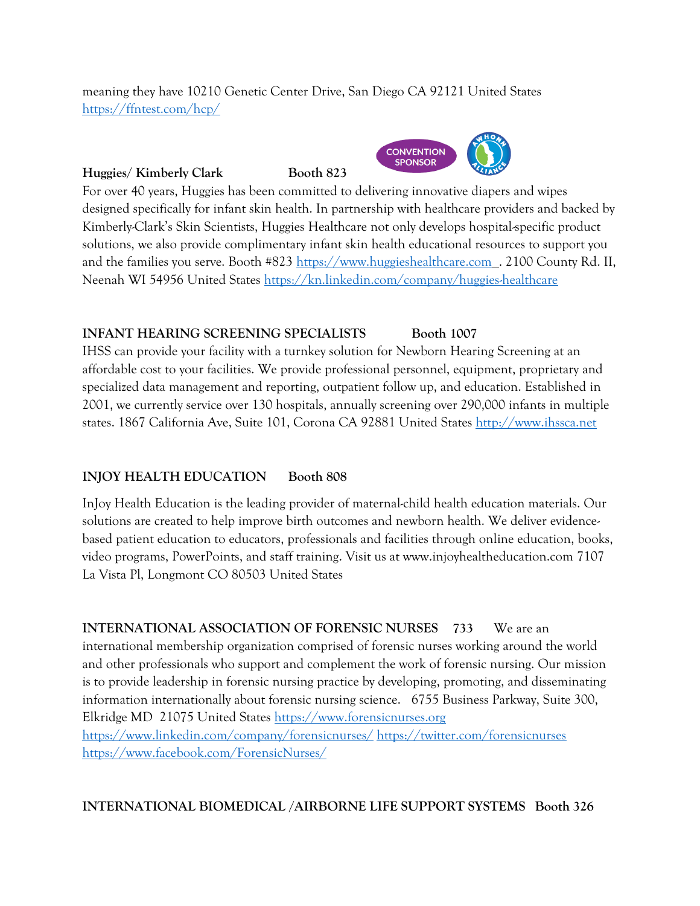# meaning they have 10210 Genetic Center Drive, San Diego CA 92121 United States <https://ffntest.com/hcp/>

#### **Huggies/ Kimberly Clark Booth 823**



For over 40 years, Huggies has been committed to delivering innovative diapers and wipes designed specifically for infant skin health. In partnership with healthcare providers and backed by Kimberly-Clark's Skin Scientists, Huggies Healthcare not only develops hospital-specific product solutions, we also provide complimentary infant skin health educational resources to support you and the families you serve. Booth #823 [https://www.huggieshealthcare.com](https://www.huggieshealthcare.com/) . 2100 County Rd. II, Neenah WI 54956 United States <https://kn.linkedin.com/company/huggies-healthcare>

# **INFANT HEARING SCREENING SPECIALISTS** Booth 1007

IHSS can provide your facility with a turnkey solution for Newborn Hearing Screening at an affordable cost to your facilities. We provide professional personnel, equipment, proprietary and specialized data management and reporting, outpatient follow up, and education. Established in 2001, we currently service over 130 hospitals, annually screening over 290,000 infants in multiple states. 1867 California Ave, Suite 101, Corona CA 92881 United States [http://www.ihssca.net](http://www.ihssca.net/)

# **INJOY HEALTH EDUCATION Booth 808**

InJoy Health Education is the leading provider of maternal-child health education materials. Our solutions are created to help improve birth outcomes and newborn health. We deliver evidencebased patient education to educators, professionals and facilities through online education, books, video programs, PowerPoints, and staff training. Visit us at www.injoyhealtheducation.com 7107 La Vista Pl, Longmont CO 80503 United States

**INTERNATIONAL ASSOCIATION OF FORENSIC NURSES 733** We are an international membership organization comprised of forensic nurses working around the world and other professionals who support and complement the work of forensic nursing. Our mission is to provide leadership in forensic nursing practice by developing, promoting, and disseminating information internationally about forensic nursing science. 6755 Business Parkway, Suite 300, Elkridge MD 21075 United States [https://www.forensicnurses.org](https://www.forensicnurses.org/) <https://www.linkedin.com/company/forensicnurses/> <https://twitter.com/forensicnurses> <https://www.facebook.com/ForensicNurses/>

## **INTERNATIONAL BIOMEDICAL /AIRBORNE LIFE SUPPORT SYSTEMS Booth 326**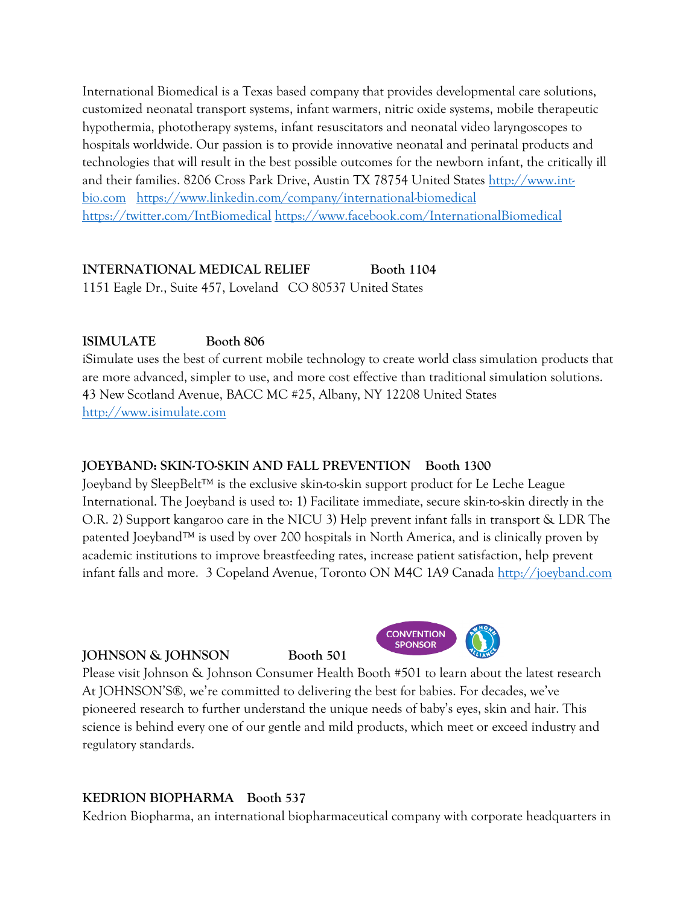International Biomedical is a Texas based company that provides developmental care solutions, customized neonatal transport systems, infant warmers, nitric oxide systems, mobile therapeutic hypothermia, phototherapy systems, infant resuscitators and neonatal video laryngoscopes to hospitals worldwide. Our passion is to provide innovative neonatal and perinatal products and technologies that will result in the best possible outcomes for the newborn infant, the critically ill and their families. 8206 Cross Park Drive, Austin TX 78754 United States [http://www.int](http://www.int-bio.com/)[bio.com](http://www.int-bio.com/) <https://www.linkedin.com/company/international-biomedical> <https://twitter.com/IntBiomedical> <https://www.facebook.com/InternationalBiomedical>

#### **INTERNATIONAL MEDICAL RELIEF** Booth 1104

1151 Eagle Dr., Suite 457, Loveland CO 80537 United States

#### **ISIMULATE Booth 806**

iSimulate uses the best of current mobile technology to create world class simulation products that are more advanced, simpler to use, and more cost effective than traditional simulation solutions. 43 New Scotland Avenue, BACC MC #25, Albany, NY 12208 United States [http://www.isimulate.com](http://www.isimulate.com/)

#### **JOEYBAND: SKIN-TO-SKIN AND FALL PREVENTION Booth 1300**

Joeyband by SleepBelt™ is the exclusive skin-to-skin support product for Le Leche League International. The Joeyband is used to: 1) Facilitate immediate, secure skin-to-skin directly in the O.R. 2) Support kangaroo care in the NICU 3) Help prevent infant falls in transport & LDR The patented Joeyband™ is used by over 200 hospitals in North America, and is clinically proven by academic institutions to improve breastfeeding rates, increase patient satisfaction, help prevent infant falls and more. 3 Copeland Avenue, Toronto ON M4C 1A9 Canada [http://joeyband.com](http://joeyband.com/)

#### **JOHNSON & JOHNSON Booth 501**

Please visit Johnson & Johnson Consumer Health Booth #501 to learn about the latest research At JOHNSON'S®, we're committed to delivering the best for babies. For decades, we've pioneered research to further understand the unique needs of baby's eyes, skin and hair. This science is behind every one of our gentle and mild products, which meet or exceed industry and regulatory standards.

#### **KEDRION BIOPHARMA Booth 537**

Kedrion Biopharma, an international biopharmaceutical company with corporate headquarters in



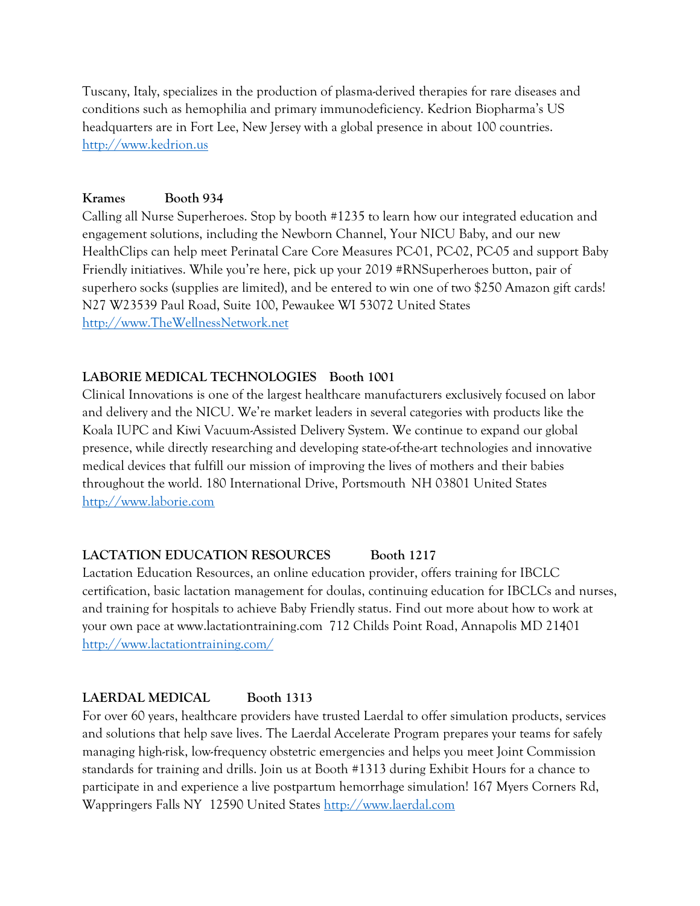Tuscany, Italy, specializes in the production of plasma-derived therapies for rare diseases and conditions such as hemophilia and primary immunodeficiency. Kedrion Biopharma's US headquarters are in Fort Lee, New Jersey with a global presence in about 100 countries. [http://www.kedrion.us](http://www.kedrion.us/)

#### **Krames Booth 934**

Calling all Nurse Superheroes. Stop by booth #1235 to learn how our integrated education and engagement solutions, including the Newborn Channel, Your NICU Baby, and our new HealthClips can help meet Perinatal Care Core Measures PC-01, PC-02, PC-05 and support Baby Friendly initiatives. While you're here, pick up your 2019 #RNSuperheroes button, pair of superhero socks (supplies are limited), and be entered to win one of two \$250 Amazon gift cards! N27 W23539 Paul Road, Suite 100, Pewaukee WI 53072 United States [http://www.TheWellnessNetwork.net](http://www.thewellnessnetwork.net/)

## **LABORIE MEDICAL TECHNOLOGIES Booth 1001**

Clinical Innovations is one of the largest healthcare manufacturers exclusively focused on labor and delivery and the NICU. We're market leaders in several categories with products like the Koala IUPC and Kiwi Vacuum-Assisted Delivery System. We continue to expand our global presence, while directly researching and developing state-of-the-art technologies and innovative medical devices that fulfill our mission of improving the lives of mothers and their babies throughout the world. 180 International Drive, Portsmouth NH 03801 United States [http://www.laborie.com](http://www.laborie.com/)

#### **LACTATION EDUCATION RESOURCES Booth 1217**

Lactation Education Resources, an online education provider, offers training for IBCLC certification, basic lactation management for doulas, continuing education for IBCLCs and nurses, and training for hospitals to achieve Baby Friendly status. Find out more about how to work at your own pace at www.lactationtraining.com 712 Childs Point Road, Annapolis MD 21401 <http://www.lactationtraining.com/>

## **LAERDAL MEDICAL Booth 1313**

For over 60 years, healthcare providers have trusted Laerdal to offer simulation products, services and solutions that help save lives. The Laerdal Accelerate Program prepares your teams for safely managing high-risk, low-frequency obstetric emergencies and helps you meet Joint Commission standards for training and drills. Join us at Booth #1313 during Exhibit Hours for a chance to participate in and experience a live postpartum hemorrhage simulation! 167 Myers Corners Rd, Wappringers Falls NY 12590 United States [http://www.laerdal.com](http://www.laerdal.com/)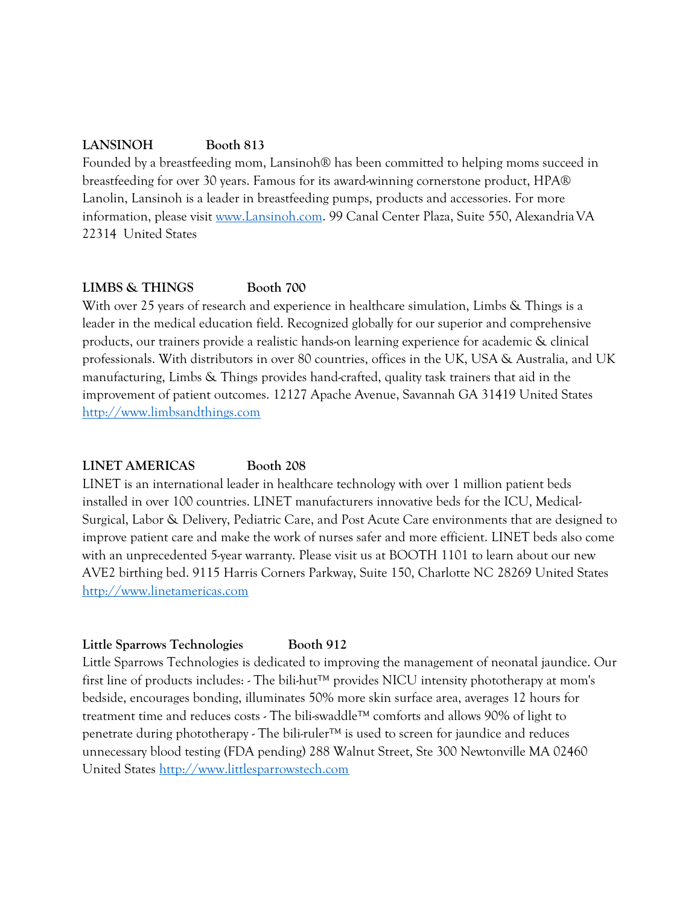#### **LANSINOH Booth 813**

Founded by a breastfeeding mom, Lansinoh® has been committed to helping moms succeed in breastfeeding for over 30 years. Famous for its award-winning cornerstone product, HPA® Lanolin, Lansinoh is a leader in breastfeeding pumps, products and accessories. For more information, please visit [www.Lansinoh.com.](http://www.lansinoh.com/) 99 Canal Center Plaza, Suite 550, AlexandriaVA 22314 United States

#### **LIMBS & THINGS Booth 700**

With over 25 years of research and experience in healthcare simulation, Limbs & Things is a leader in the medical education field. Recognized globally for our superior and comprehensive products, our trainers provide a realistic hands-on learning experience for academic & clinical professionals. With distributors in over 80 countries, offices in the UK, USA & Australia, and UK manufacturing, Limbs & Things provides hand-crafted, quality task trainers that aid in the improvement of patient outcomes. 12127 Apache Avenue, Savannah GA 31419 United States [http://www.limbsandthings.com](http://www.limbsandthings.com/)

#### **LINET AMERICAS Booth 208**

LINET is an international leader in healthcare technology with over 1 million patient beds installed in over 100 countries. LINET manufacturers innovative beds for the ICU, Medical-Surgical, Labor & Delivery, Pediatric Care, and Post Acute Care environments that are designed to improve patient care and make the work of nurses safer and more efficient. LINET beds also come with an unprecedented 5-year warranty. Please visit us at BOOTH 1101 to learn about our new AVE2 birthing bed. 9115 Harris Corners Parkway, Suite 150, Charlotte NC 28269 United States [http://www.linetamericas.com](http://www.linetamericas.com/)

#### Little Sparrows Technologies **Booth 912**

Little Sparrows Technologies is dedicated to improving the management of neonatal jaundice. Our first line of products includes: - The bili-hut™ provides NICU intensity phototherapy at mom's bedside, encourages bonding, illuminates 50% more skin surface area, averages 12 hours for treatment time and reduces costs - The bili-swaddle™ comforts and allows 90% of light to penetrate during phototherapy - The bili-ruler<sup>™</sup> is used to screen for jaundice and reduces unnecessary blood testing (FDA pending) 288 Walnut Street, Ste 300 Newtonville MA 02460 United States [http://www.littlesparrowstech.com](http://www.littlesparrowstech.com/)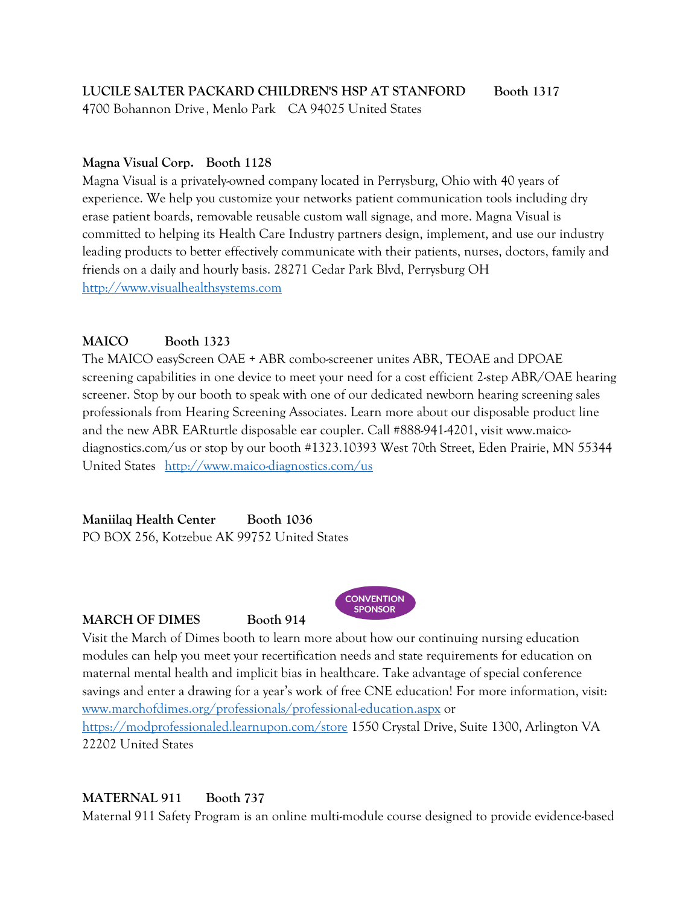#### **Magna Visual Corp. Booth 1128**

Magna Visual is a privately-owned company located in Perrysburg, Ohio with 40 years of experience. We help you customize your networks patient communication tools including dry erase patient boards, removable reusable custom wall signage, and more. Magna Visual is committed to helping its Health Care Industry partners design, implement, and use our industry leading products to better effectively communicate with their patients, nurses, doctors, family and friends on a daily and hourly basis. 28271 Cedar Park Blvd, Perrysburg OH [http://www.visualhealthsystems.com](http://www.visualhealthsystems.com/)

#### **MAICO Booth 1323**

The MAICO easyScreen OAE + ABR combo-screener unites ABR, TEOAE and DPOAE screening capabilities in one device to meet your need for a cost efficient 2-step ABR/OAE hearing screener. Stop by our booth to speak with one of our dedicated newborn hearing screening sales professionals from Hearing Screening Associates. Learn more about our disposable product line and the new ABR EARturtle disposable ear coupler. Call #888-941-4201, visit www.maicodiagnostics.com/us or stop by our booth #1323.10393 West 70th Street, Eden Prairie, MN 55344 United States <http://www.maico-diagnostics.com/us>

**Maniilaq Health Center Booth 1036** PO BOX 256, Kotzebue AK 99752 United States

#### **MARCH OF DIMES Booth 914**



Visit the March of Dimes booth to learn more about how our continuing nursing education modules can help you meet your recertification needs and state requirements for education on maternal mental health and implicit bias in healthcare. Take advantage of special conference savings and enter a drawing for a year's work of free CNE education! For more information, visit: [www.marchofdimes.org/professionals/professional-education.aspx](http://www.marchofdimes.org/professionals/professional-education.aspx) or <https://modprofessionaled.learnupon.com/store> 1550 Crystal Drive, Suite 1300, Arlington VA 22202 United States

#### **MATERNAL 911 Booth 737**

Maternal 911 Safety Program is an online multi-module course designed to provide evidence-based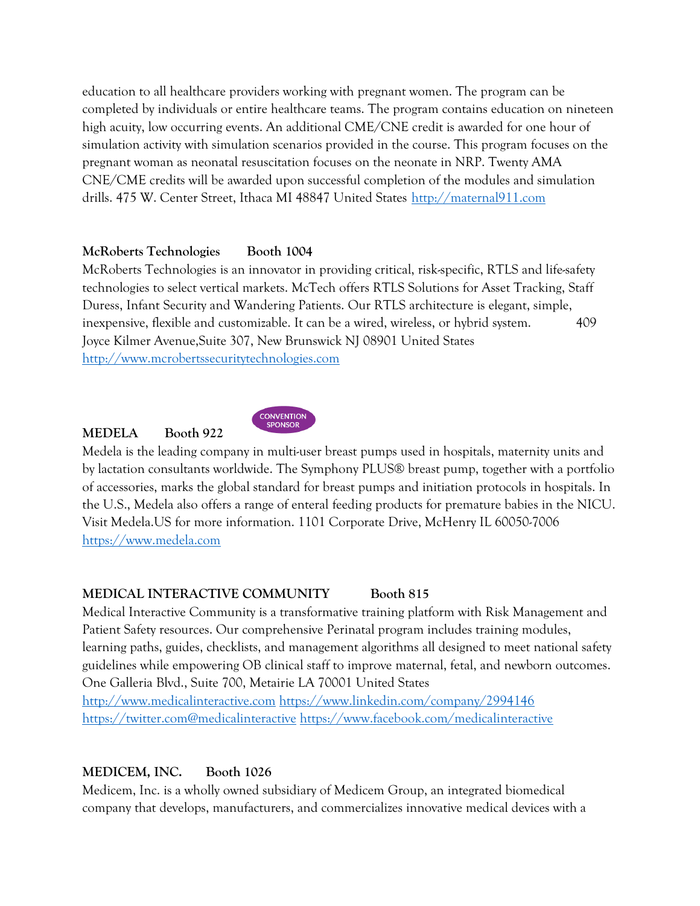education to all healthcare providers working with pregnant women. The program can be completed by individuals or entire healthcare teams. The program contains education on nineteen high acuity, low occurring events. An additional CME/CNE credit is awarded for one hour of simulation activity with simulation scenarios provided in the course. This program focuses on the pregnant woman as neonatal resuscitation focuses on the neonate in NRP. Twenty AMA CNE/CME credits will be awarded upon successful completion of the modules and simulation drills. 475 W. Center Street, Ithaca MI 48847 United States [http://maternal911.com](http://maternal911.com/)

#### **McRoberts Technologies Booth 1004**

McRoberts Technologies is an innovator in providing critical, risk-specific, RTLS and life-safety technologies to select vertical markets. McTech offers RTLS Solutions for Asset Tracking, Staff Duress, Infant Security and Wandering Patients. Our RTLS architecture is elegant, simple, inexpensive, flexible and customizable. It can be a wired, wireless, or hybrid system. 409 Joyce Kilmer Avenue,Suite 307, New Brunswick NJ 08901 United States [http://www.mcrobertssecuritytechnologies.com](http://www.mcrobertssecuritytechnologies.com/)

#### **MEDELA Booth 922**



Medela is the leading company in multi-user breast pumps used in hospitals, maternity units and by lactation consultants worldwide. The Symphony PLUS® breast pump, together with a portfolio of accessories, marks the global standard for breast pumps and initiation protocols in hospitals. In the U.S., Medela also offers a range of enteral feeding products for premature babies in the NICU. Visit Medela.US for more information. 1101 Corporate Drive, McHenry IL 60050-7006 [https://www.medela.com](https://www.medela.com/)

## **MEDICAL INTERACTIVE COMMUNITY** Booth 815

Medical Interactive Community is a transformative training platform with Risk Management and Patient Safety resources. Our comprehensive Perinatal program includes training modules, learning paths, guides, checklists, and management algorithms all designed to meet national safety guidelines while empowering OB clinical staff to improve maternal, fetal, and newborn outcomes. One Galleria Blvd., Suite 700, Metairie LA 70001 United States

[http://www.medicalinteractive.com](http://www.medicalinteractive.com/) <https://www.linkedin.com/company/2994146> <https://twitter.com@medicalinteractive> <https://www.facebook.com/medicalinteractive>

## **MEDICEM, INC. Booth 1026**

Medicem, Inc. is a wholly owned subsidiary of Medicem Group, an integrated biomedical company that develops, manufacturers, and commercializes innovative medical devices with a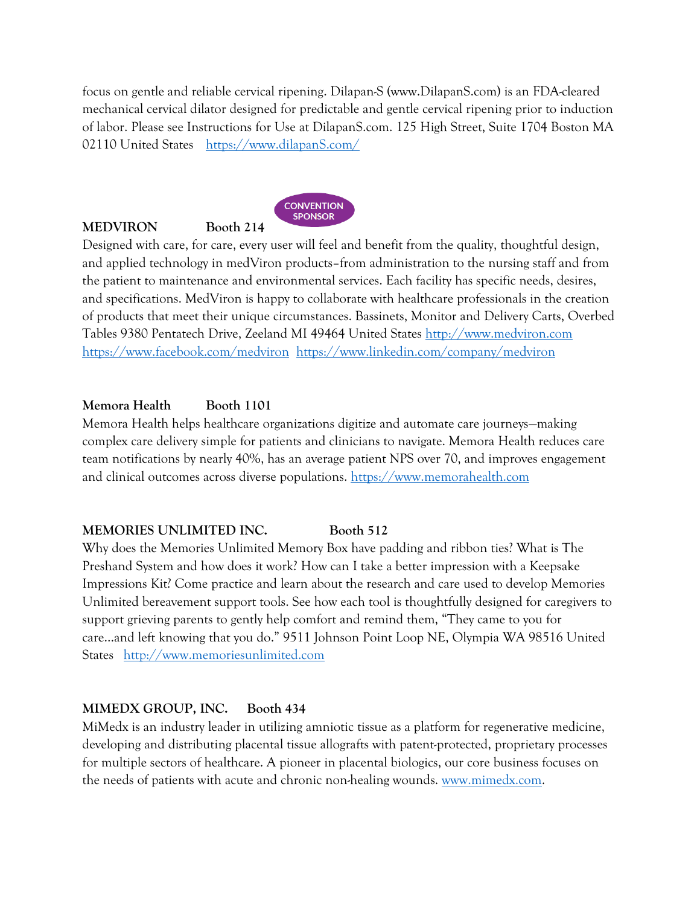focus on gentle and reliable cervical ripening. Dilapan-S (www.DilapanS.com) is an FDA-cleared mechanical cervical dilator designed for predictable and gentle cervical ripening prior to induction of labor. Please see Instructions for Use at DilapanS.com. 125 High Street, Suite 1704 Boston MA 02110 United States [https://www.dilapanS.com/](https://www.dilapans.com/)

**CONVENTION** 

#### **MEDVIRON Booth 214**

**SPONSOR** 

Designed with care, for care, every user will feel and benefit from the quality, thoughtful design, and applied technology in medViron products–from administration to the nursing staff and from the patient to maintenance and environmental services. Each facility has specific needs, desires, and specifications. MedViron is happy to collaborate with healthcare professionals in the creation of products that meet their unique circumstances. Bassinets, Monitor and Delivery Carts, Overbed Tables 9380 Pentatech Drive, Zeeland MI 49464 United States [http://www.medviron.com](http://www.medviron.com/) <https://www.facebook.com/medviron><https://www.linkedin.com/company/medviron>

#### **Memora Health Booth 1101**

Memora Health helps healthcare organizations digitize and automate care journeys—making complex care delivery simple for patients and clinicians to navigate. Memora Health reduces care team notifications by nearly 40%, has an average patient NPS over 70, and improves engagement and clinical outcomes across diverse populations. [https://www.memorahealth.com](https://www.memorahealth.com/)

#### **MEMORIES UNLIMITED INC.** Booth 512

Why does the Memories Unlimited Memory Box have padding and ribbon ties? What is The Preshand System and how does it work? How can I take a better impression with a Keepsake Impressions Kit? Come practice and learn about the research and care used to develop Memories Unlimited bereavement support tools. See how each tool is thoughtfully designed for caregivers to support grieving parents to gently help comfort and remind them, "They came to you for care…and left knowing that you do." 9511 Johnson Point Loop NE, Olympia WA 98516 United States [http://www.memoriesunlimited.com](http://www.memoriesunlimited.com/)

#### **MIMEDX GROUP, INC. Booth 434**

MiMedx is an industry leader in utilizing amniotic tissue as a platform for regenerative medicine, developing and distributing placental tissue allografts with patent-protected, proprietary processes for multiple sectors of healthcare. A pioneer in placental biologics, our core business focuses on the needs of patients with acute and chronic non-healing wounds. [www.mimedx.com.](http://www.mimedx.com/)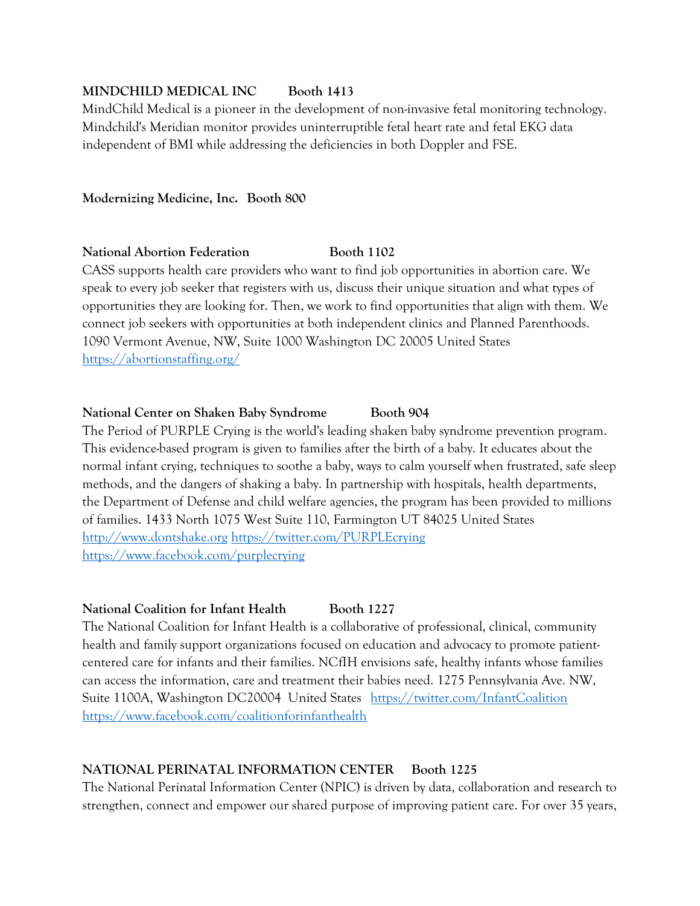#### **MINDCHILD MEDICAL INC Booth 1413**

MindChild Medical is a pioneer in the development of non-invasive fetal monitoring technology. Mindchild's Meridian monitor provides uninterruptible fetal heart rate and fetal EKG data independent of BMI while addressing the deficiencies in both Doppler and FSE.

#### **Modernizing Medicine, Inc. Booth 800**

#### **National Abortion Federation Booth 1102**

CASS supports health care providers who want to find job opportunities in abortion care. We speak to every job seeker that registers with us, discuss their unique situation and what types of opportunities they are looking for. Then, we work to find opportunities that align with them. We connect job seekers with opportunities at both independent clinics and Planned Parenthoods. 1090 Vermont Avenue, NW, Suite 1000 Washington DC 20005 United States <https://abortionstaffing.org/>

#### **National Center on Shaken Baby Syndrome Booth 904**

The Period of PURPLE Crying is the world's leading shaken baby syndrome prevention program. This evidence-based program is given to families after the birth of a baby. It educates about the normal infant crying, techniques to soothe a baby, ways to calm yourself when frustrated, safe sleep methods, and the dangers of shaking a baby. In partnership with hospitals, health departments, the Department of Defense and child welfare agencies, the program has been provided to millions of families. 1433 North 1075 West Suite 110, Farmington UT 84025 United States [http://www.dontshake.org](http://www.dontshake.org/) <https://twitter.com/PURPLEcrying> <https://www.facebook.com/purplecrying>

## National Coalition for Infant Health Booth 1227

The National Coalition for Infant Health is a collaborative of professional, clinical, community health and family support organizations focused on education and advocacy to promote patientcentered care for infants and their families. NCfIH envisions safe, healthy infants whose families can access the information, care and treatment their babies need. 1275 Pennsylvania Ave. NW, Suite 1100A, Washington DC20004 United States <https://twitter.com/InfantCoalition> <https://www.facebook.com/coalitionforinfanthealth>

## **NATIONAL PERINATAL INFORMATION CENTER Booth 1225**

The National Perinatal Information Center (NPIC) is driven by data, collaboration and research to strengthen, connect and empower our shared purpose of improving patient care. For over 35 years,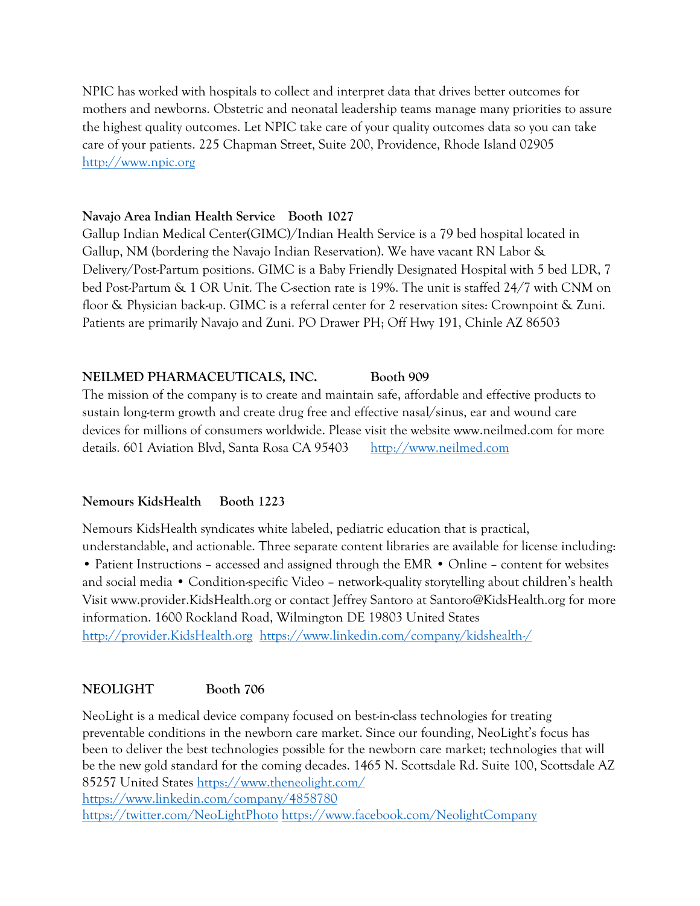NPIC has worked with hospitals to collect and interpret data that drives better outcomes for mothers and newborns. Obstetric and neonatal leadership teams manage many priorities to assure the highest quality outcomes. Let NPIC take care of your quality outcomes data so you can take care of your patients. 225 Chapman Street, Suite 200, Providence, Rhode Island 02905 [http://www.npic.org](http://www.npic.org/)

#### **Navajo Area Indian Health Service Booth 1027**

Gallup Indian Medical Center(GIMC)/Indian Health Service is a 79 bed hospital located in Gallup, NM (bordering the Navajo Indian Reservation). We have vacant RN Labor & Delivery/Post-Partum positions. GIMC is a Baby Friendly Designated Hospital with 5 bed LDR, 7 bed Post-Partum & 1 OR Unit. The C-section rate is 19%. The unit is staffed 24/7 with CNM on floor & Physician back-up. GIMC is a referral center for 2 reservation sites: Crownpoint & Zuni. Patients are primarily Navajo and Zuni. PO Drawer PH; Off Hwy 191, Chinle AZ 86503

#### NEILMED PHARMACEUTICALS, INC. Booth 909

The mission of the company is to create and maintain safe, affordable and effective products to sustain long-term growth and create drug free and effective nasal/sinus, ear and wound care devices for millions of consumers worldwide. Please visit the website www.neilmed.com for more details. 601 Aviation Blvd, Santa Rosa CA 95403 [http://www.neilmed.com](http://www.neilmed.com/)

#### **Nemours KidsHealth Booth 1223**

Nemours KidsHealth syndicates white labeled, pediatric education that is practical, understandable, and actionable. Three separate content libraries are available for license including: • Patient Instructions – accessed and assigned through the EMR • Online – content for websites and social media • Condition-specific Video – network-quality storytelling about children's health Visit www.provider.KidsHealth.org or contact Jeffrey Santoro at Santoro@KidsHealth.org for more information. 1600 Rockland Road, Wilmington DE 19803 United States [http://provider.KidsHealth.org](http://provider.kidshealth.org/) <https://www.linkedin.com/company/kidshealth-/>

#### **NEOLIGHT Booth 706**

NeoLight is a medical device company focused on best-in-class technologies for treating preventable conditions in the newborn care market. Since our founding, NeoLight's focus has been to deliver the best technologies possible for the newborn care market; technologies that will be the new gold standard for the coming decades. 1465 N. Scottsdale Rd. Suite 100, Scottsdale AZ 85257 United States <https://www.theneolight.com/>

<https://www.linkedin.com/company/4858780>

<https://twitter.com/NeoLightPhoto> <https://www.facebook.com/NeolightCompany>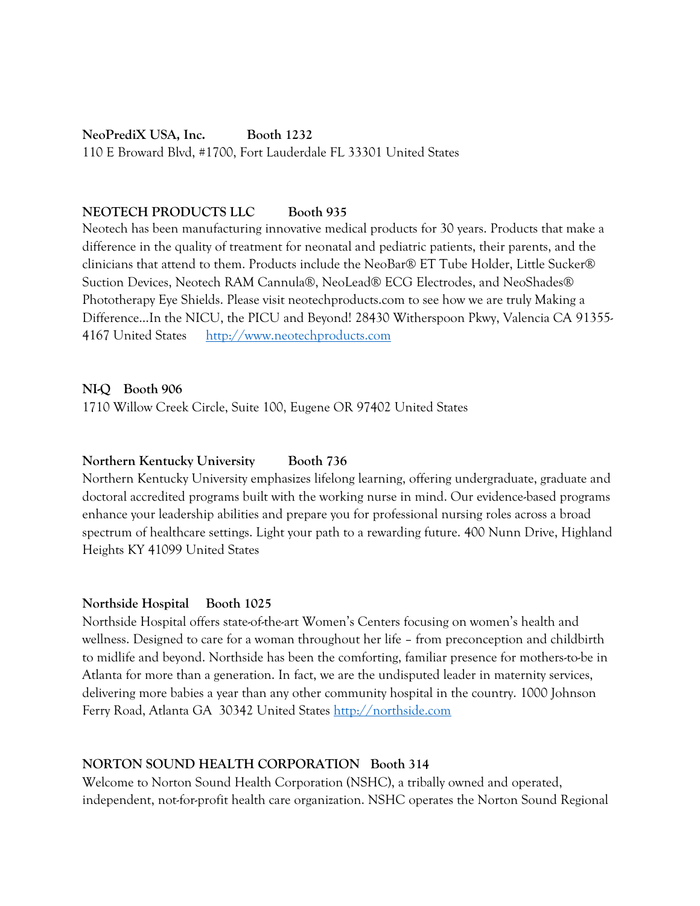**NeoPrediX USA, Inc. Booth 1232** 110 E Broward Blvd, #1700, Fort Lauderdale FL 33301 United States

#### **NEOTECH PRODUCTS LLC** Booth 935

Neotech has been manufacturing innovative medical products for 30 years. Products that make a difference in the quality of treatment for neonatal and pediatric patients, their parents, and the clinicians that attend to them. Products include the NeoBar® ET Tube Holder, Little Sucker® Suction Devices, Neotech RAM Cannula®, NeoLead® ECG Electrodes, and NeoShades® Phototherapy Eye Shields. Please visit neotechproducts.com to see how we are truly Making a Difference...In the NICU, the PICU and Beyond! 28430 Witherspoon Pkwy, Valencia CA 91355-4167 United States [http://www.neotechproducts.com](http://www.neotechproducts.com/)

#### **NI-Q Booth 906**

1710 Willow Creek Circle, Suite 100, Eugene OR 97402 United States

#### **Northern Kentucky University Booth 736**

Northern Kentucky University emphasizes lifelong learning, offering undergraduate, graduate and doctoral accredited programs built with the working nurse in mind. Our evidence-based programs enhance your leadership abilities and prepare you for professional nursing roles across a broad spectrum of healthcare settings. Light your path to a rewarding future. 400 Nunn Drive, Highland Heights KY 41099 United States

#### **Northside Hospital Booth 1025**

Northside Hospital offers state-of-the-art Women's Centers focusing on women's health and wellness. Designed to care for a woman throughout her life – from preconception and childbirth to midlife and beyond. Northside has been the comforting, familiar presence for mothers-to-be in Atlanta for more than a generation. In fact, we are the undisputed leader in maternity services, delivering more babies a year than any other community hospital in the country. 1000 Johnson Ferry Road, Atlanta GA 30342 United States [http://northside.com](http://northside.com/)

#### **NORTON SOUND HEALTH CORPORATION Booth 314**

Welcome to Norton Sound Health Corporation (NSHC), a tribally owned and operated, independent, not-for-profit health care organization. NSHC operates the Norton Sound Regional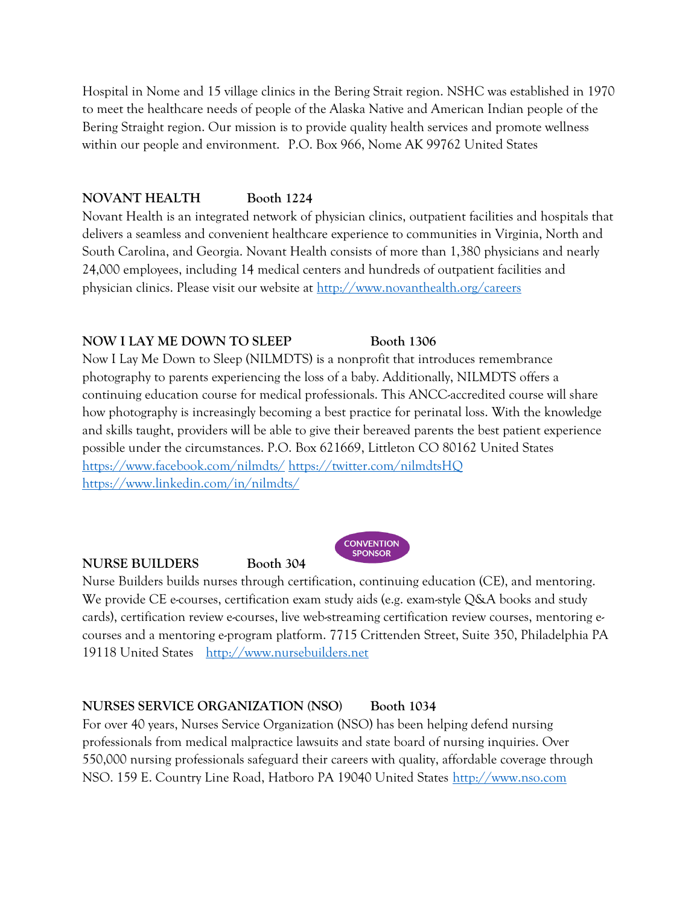Hospital in Nome and 15 village clinics in the Bering Strait region. NSHC was established in 1970 to meet the healthcare needs of people of the Alaska Native and American Indian people of the Bering Straight region. Our mission is to provide quality health services and promote wellness within our people and environment. P.O. Box 966, Nome AK 99762 United States

### **NOVANT HEALTH Booth 1224**

Novant Health is an integrated network of physician clinics, outpatient facilities and hospitals that delivers a seamless and convenient healthcare experience to communities in Virginia, North and South Carolina, and Georgia. Novant Health consists of more than 1,380 physicians and nearly 24,000 employees, including 14 medical centers and hundreds of outpatient facilities and physician clinics. Please visit our website at<http://www.novanthealth.org/careers>

#### **NOW I LAY ME DOWN TO SLEEP** Booth 1306

Now I Lay Me Down to Sleep (NILMDTS) is a nonprofit that introduces remembrance photography to parents experiencing the loss of a baby. Additionally, NILMDTS offers a continuing education course for medical professionals. This ANCC-accredited course will share how photography is increasingly becoming a best practice for perinatal loss. With the knowledge and skills taught, providers will be able to give their bereaved parents the best patient experience possible under the circumstances. P.O. Box 621669, Littleton CO 80162 United States <https://www.facebook.com/nilmdts/> <https://twitter.com/nilmdtsHQ> <https://www.linkedin.com/in/nilmdts/>





Nurse Builders builds nurses through certification, continuing education (CE), and mentoring. We provide CE e-courses, certification exam study aids (e.g. exam-style Q&A books and study cards), certification review e-courses, live web-streaming certification review courses, mentoring ecourses and a mentoring e-program platform. 7715 Crittenden Street, Suite 350, Philadelphia PA 19118 United States [http://www.nursebuilders.net](http://www.nursebuilders.net/)

## **NURSES SERVICE ORGANIZATION (NSO)** Booth 1034

For over 40 years, Nurses Service Organization (NSO) has been helping defend nursing professionals from medical malpractice lawsuits and state board of nursing inquiries. Over 550,000 nursing professionals safeguard their careers with quality, affordable coverage through NSO. 159 E. Country Line Road, Hatboro PA 19040 United States [http://www.nso.com](http://www.nso.com/)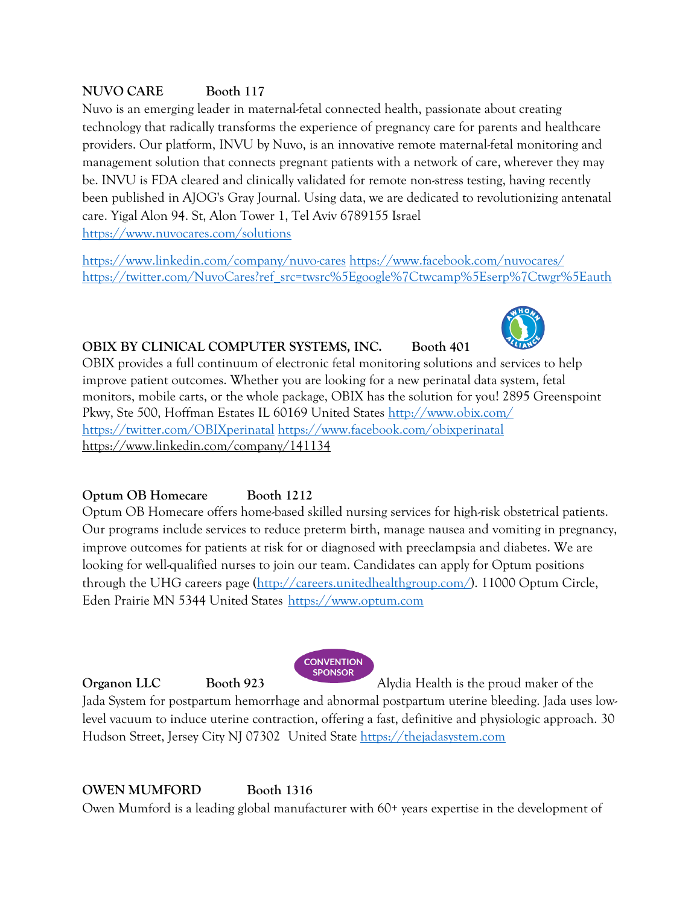# **NUVO CARE Booth 117**

Nuvo is an emerging leader in maternal-fetal connected health, passionate about creating technology that radically transforms the experience of pregnancy care for parents and healthcare providers. Our platform, INVU by Nuvo, is an innovative remote maternal-fetal monitoring and management solution that connects pregnant patients with a network of care, wherever they may be. INVU is FDA cleared and clinically validated for remote non-stress testing, having recently been published in AJOG's Gray Journal. Using data, we are dedicated to revolutionizing antenatal care. Yigal Alon 94. St, Alon Tower 1, Tel Aviv 6789155 Israel <https://www.nuvocares.com/solutions>

<https://www.linkedin.com/company/nuvo-cares> <https://www.facebook.com/nuvocares/> [https://twitter.com/NuvoCares?ref\\_src=twsrc%5Egoogle%7Ctwcamp%5Eserp%7Ctwgr%5Eauth](https://twitter.com/NuvoCares?ref_src=twsrc%5Egoogle%7Ctwcamp%5Eserp%7Ctwgr%5Eauth)



## OBIX BY CLINICAL COMPUTER SYSTEMS, INC. Booth 401

OBIX provides a full continuum of electronic fetal monitoring solutions and services to help improve patient outcomes. Whether you are looking for a new perinatal data system, fetal monitors, mobile carts, or the whole package, OBIX has the solution for you! 2895 Greenspoint Pkwy, Ste 500, Hoffman Estates IL 60169 United States<http://www.obix.com/> <https://twitter.com/OBIXperinatal> <https://www.facebook.com/obixperinatal> <https://www.linkedin.com/company/141134>

## **Optum OB Homecare Booth 1212**

Optum OB Homecare offers home-based skilled nursing services for high-risk obstetrical patients. Our programs include services to reduce preterm birth, manage nausea and vomiting in pregnancy, improve outcomes for patients at risk for or diagnosed with preeclampsia and diabetes. We are looking for well-qualified nurses to join our team. Candidates can apply for Optum positions through the UHG careers page [\(http://careers.unitedhealthgroup.com/\)](http://careers.unitedhealthgroup.com/). 11000 Optum Circle, Eden Prairie MN 5344 United States [https://www.optum.com](https://www.optum.com/)

**CONVENTION SPONSOR** 

**Organon LLC Booth 923** Alydia Health is the proud maker of the

Jada System for postpartum hemorrhage and abnormal postpartum uterine bleeding. Jada uses lowlevel vacuum to induce uterine contraction, offering a fast, definitive and physiologic approach. 30 Hudson Street, Jersey City NJ 07302 United State [https://thejadasystem.com](https://thejadasystem.com/)

# **OWEN MUMFORD Booth 1316**

Owen Mumford is a leading global manufacturer with 60+ years expertise in the development of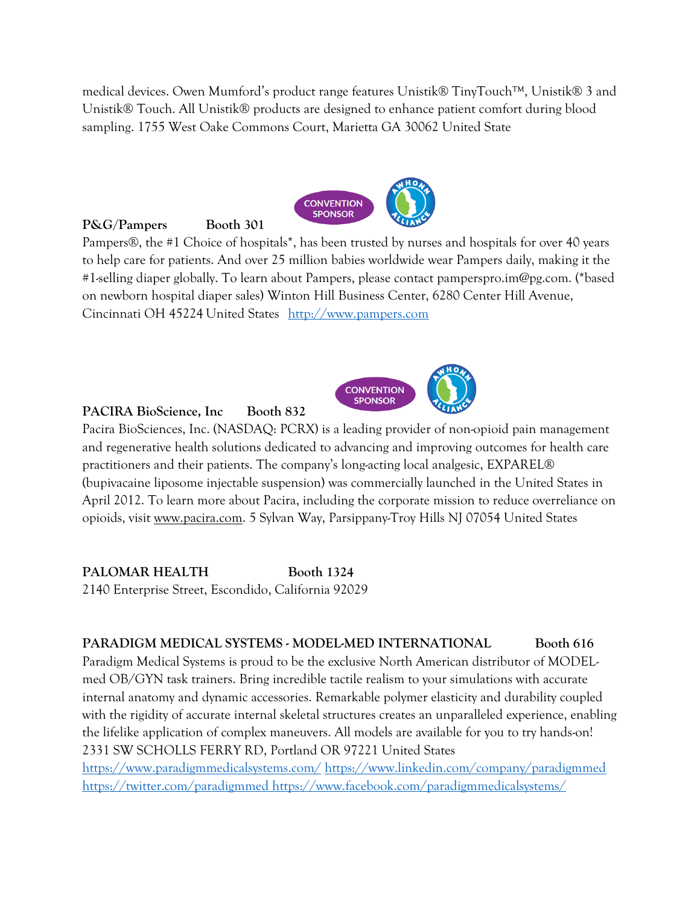medical devices. Owen Mumford's product range features Unistik® TinyTouch™, Unistik® 3 and Unistik® Touch. All Unistik® products are designed to enhance patient comfort during blood sampling. 1755 West Oake Commons Court, Marietta GA 30062 United State



#### **P&G/Pampers Booth 301**

Pampers®, the #1 Choice of hospitals\*, has been trusted by nurses and hospitals for over 40 years to help care for patients. And over 25 million babies worldwide wear Pampers daily, making it the #1-selling diaper globally. To learn about Pampers, please contact pamperspro.im@pg.com. (\*based on newborn hospital diaper sales) Winton Hill Business Center, 6280 Center Hill Avenue, Cincinnati OH 45224 United States [http://www.pampers.com](http://www.pampers.com/)



#### **PACIRA BioScience, Inc Booth 832**

Pacira BioSciences, Inc. (NASDAQ: PCRX) is a leading provider of non-opioid pain management and regenerative health solutions dedicated to advancing and improving outcomes for health care practitioners and their patients. The company's long-acting local analgesic, EXPAREL® (bupivacaine liposome injectable suspension) was commercially launched in the United States in April 2012. To learn more about Pacira, including the corporate mission to reduce overreliance on opioids, visit [www.pacira.com.](http://www.pacira.com/) 5 Sylvan Way, Parsippany-Troy Hills NJ 07054 United States

PALOMAR HEALTH Booth 1324

2140 Enterprise Street, Escondido, California 92029

#### **PARADIGM MEDICAL SYSTEMS - MODEL-MED INTERNATIONAL Booth 616**

Paradigm Medical Systems is proud to be the exclusive North American distributor of MODELmed OB/GYN task trainers. Bring incredible tactile realism to your simulations with accurate internal anatomy and dynamic accessories. Remarkable polymer elasticity and durability coupled with the rigidity of accurate internal skeletal structures creates an unparalleled experience, enabling the lifelike application of complex maneuvers. All models are available for you to try hands-on! 2331 SW SCHOLLS FERRY RD, Portland OR 97221 United States <https://www.paradigmmedicalsystems.com/> <https://www.linkedin.com/company/paradigmmed> <https://twitter.com/paradigmmed> <https://www.facebook.com/paradigmmedicalsystems/>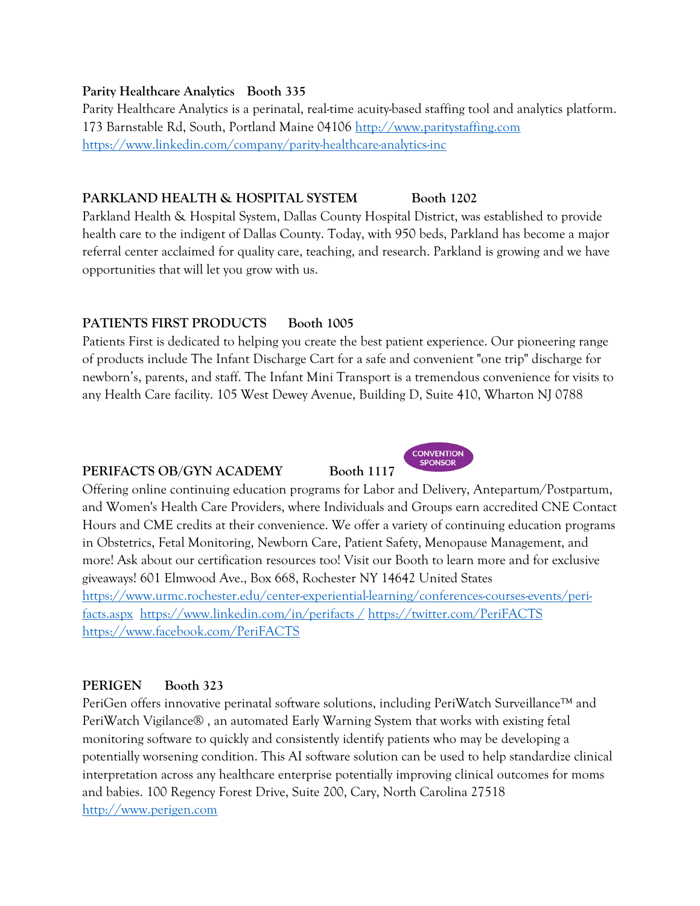#### **Parity Healthcare Analytics Booth 335**

Parity Healthcare Analytics is a perinatal, real-time acuity-based staffing tool and analytics platform. 173 Barnstable Rd, South, Portland Maine 04106 [http://www.paritystaffing.com](http://www.paritystaffing.com/) <https://www.linkedin.com/company/parity-healthcare-analytics-inc>

#### PARKLAND HEALTH & HOSPITAL SYSTEM Booth 1202

Parkland Health & Hospital System, Dallas County Hospital District, was established to provide health care to the indigent of Dallas County. Today, with 950 beds, Parkland has become a major referral center acclaimed for quality care, teaching, and research. Parkland is growing and we have opportunities that will let you grow with us.

## **PATIENTS FIRST PRODUCTS Booth 1005**

Patients First is dedicated to helping you create the best patient experience. Our pioneering range of products include The Infant Discharge Cart for a safe and convenient "one trip" discharge for newborn's, parents, and staff. The Infant Mini Transport is a tremendous convenience for visits to any Health Care facility. 105 West Dewey Avenue, Building D, Suite 410, Wharton NJ 0788

#### PERIFACTS OB/GYN ACADEMY Booth 1117



Offering online continuing education programs for Labor and Delivery, Antepartum/Postpartum, and Women's Health Care Providers, where Individuals and Groups earn accredited CNE Contact Hours and CME credits at their convenience. We offer a variety of continuing education programs in Obstetrics, Fetal Monitoring, Newborn Care, Patient Safety, Menopause Management, and more! Ask about our certification resources too! Visit our Booth to learn more and for exclusive giveaways! 601 Elmwood Ave., Box 668, Rochester NY 14642 United States [https://www.urmc.rochester.edu/center-experiential-learning/conferences-courses-events/peri](https://www.urmc.rochester.edu/center-experiential-learning/conferences-courses-events/peri-facts.aspx)[facts.aspx](https://www.urmc.rochester.edu/center-experiential-learning/conferences-courses-events/peri-facts.aspx) [https://www.linkedin.com/in/perifacts /](https://www.linkedin.com/in/perifacts%20/) <https://twitter.com/PeriFACTS> <https://www.facebook.com/PeriFACTS>

## **PERIGEN Booth 323**

PeriGen offers innovative perinatal software solutions, including PeriWatch Surveillance™ and PeriWatch Vigilance® , an automated Early Warning System that works with existing fetal monitoring software to quickly and consistently identify patients who may be developing a potentially worsening condition. This AI software solution can be used to help standardize clinical interpretation across any healthcare enterprise potentially improving clinical outcomes for moms and babies. 100 Regency Forest Drive, Suite 200, Cary, North Carolina 27518 [http://www.perigen.com](http://www.perigen.com/)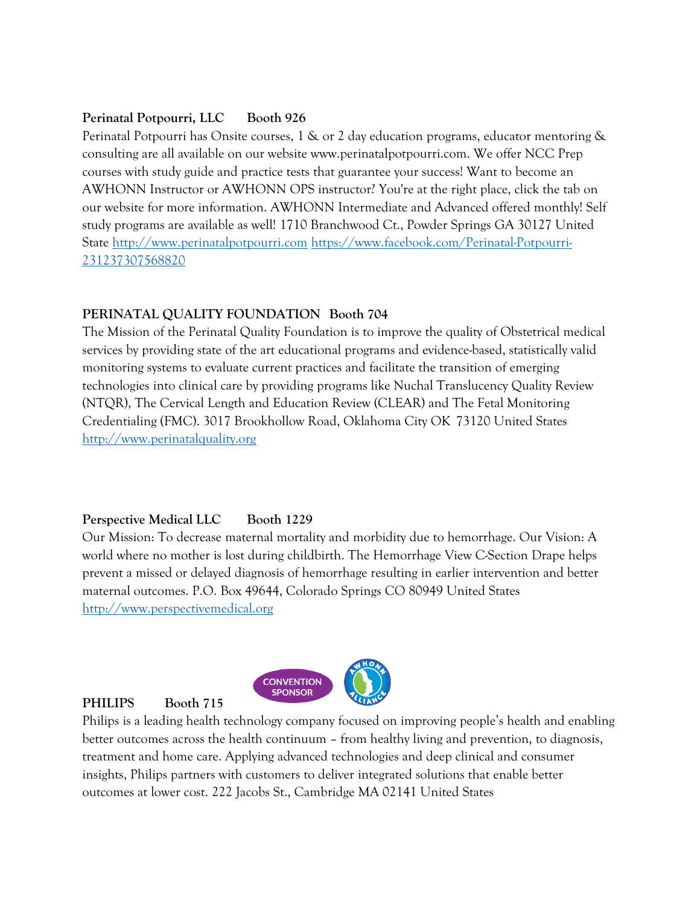#### **Perinatal Potpourri, LLC Booth 926**

Perinatal Potpourri has Onsite courses, 1 & or 2 day education programs, educator mentoring & consulting are all available on our website www.perinatalpotpourri.com. We offer NCC Prep courses with study guide and practice tests that guarantee your success! Want to become an AWHONN Instructor or AWHONN OPS instructor? You're at the right place, click the tab on our website for more information. AWHONN Intermediate and Advanced offered monthly! Self study programs are available as well! 1710 Branchwood Ct., Powder Springs GA 30127 United State [http://www.perinatalpotpourri.com](http://www.perinatalpotpourri.com/) [https://www.facebook.com/Perinatal-Potpourri-](https://www.facebook.com/Perinatal-Potpourri-231237307568820)[231237307568820](https://www.facebook.com/Perinatal-Potpourri-231237307568820)

## **PERINATAL QUALITY FOUNDATION Booth 704**

The Mission of the Perinatal Quality Foundation is to improve the quality of Obstetrical medical services by providing state of the art educational programs and evidence-based, statistically valid monitoring systems to evaluate current practices and facilitate the transition of emerging technologies into clinical care by providing programs like Nuchal Translucency Quality Review (NTQR), The Cervical Length and Education Review (CLEAR) and The Fetal Monitoring Credentialing (FMC). 3017 Brookhollow Road, Oklahoma City OK 73120 United States [http://www.perinatalquality.org](http://www.perinatalquality.org/)

## **Perspective Medical LLC** Booth 1229

Our Mission: To decrease maternal mortality and morbidity due to hemorrhage. Our Vision: A world where no mother is lost during childbirth. The Hemorrhage View C-Section Drape helps prevent a missed or delayed diagnosis of hemorrhage resulting in earlier intervention and better maternal outcomes. P.O. Box 49644, Colorado Springs CO 80949 United States [http://www.perspectivemedical.org](http://www.perspectivemedical.org/)



#### **PHILIPS Booth 715**

Philips is a leading health technology company focused on improving people's health and enabling better outcomes across the health continuum – from healthy living and prevention, to diagnosis, treatment and home care. Applying advanced technologies and deep clinical and consumer insights, Philips partners with customers to deliver integrated solutions that enable better outcomes at lower cost. 222 Jacobs St., Cambridge MA 02141 United States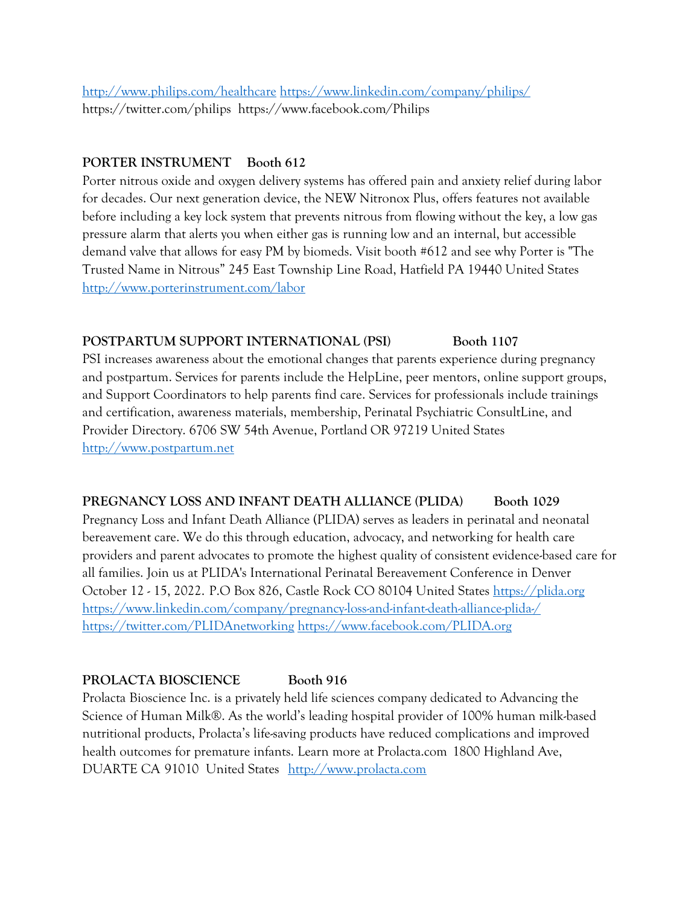# <http://www.philips.com/healthcare> <https://www.linkedin.com/company/philips/> <https://twitter.com/philips> <https://www.facebook.com/Philips>

#### **PORTER INSTRUMENT Booth 612**

Porter nitrous oxide and oxygen delivery systems has offered pain and anxiety relief during labor for decades. Our next generation device, the NEW Nitronox Plus, offers features not available before including a key lock system that prevents nitrous from flowing without the key, a low gas pressure alarm that alerts you when either gas is running low and an internal, but accessible demand valve that allows for easy PM by biomeds. Visit booth #612 and see why Porter is "The Trusted Name in Nitrous" 245 East Township Line Road, Hatfield PA 19440 United States <http://www.porterinstrument.com/labor>

#### **POSTPARTUM SUPPORT INTERNATIONAL (PSI) Booth 1107**

PSI increases awareness about the emotional changes that parents experience during pregnancy and postpartum. Services for parents include the HelpLine, peer mentors, online support groups, and Support Coordinators to help parents find care. Services for professionals include trainings and certification, awareness materials, membership, Perinatal Psychiatric ConsultLine, and Provider Directory. 6706 SW 54th Avenue, Portland OR 97219 United States [http://www.postpartum.net](http://www.postpartum.net/)

## **PREGNANCY LOSS AND INFANT DEATH ALLIANCE (PLIDA)** Booth 1029

Pregnancy Loss and Infant Death Alliance (PLIDA) serves as leaders in perinatal and neonatal bereavement care. We do this through education, advocacy, and networking for health care providers and parent advocates to promote the highest quality of consistent evidence-based care for all families. Join us at PLIDA's International Perinatal Bereavement Conference in Denver October 12 - 15, 2022. P.O Box 826, Castle Rock CO 80104 United States [https://plida.org](https://plida.org/) <https://www.linkedin.com/company/pregnancy-loss-and-infant-death-alliance-plida-/> <https://twitter.com/PLIDAnetworking> <https://www.facebook.com/PLIDA.org>

#### **PROLACTA BIOSCIENCE Booth 916**

Prolacta Bioscience Inc. is a privately held life sciences company dedicated to Advancing the Science of Human Milk®. As the world's leading hospital provider of 100% human milk-based nutritional products, Prolacta's life-saving products have reduced complications and improved health outcomes for premature infants. Learn more at Prolacta.com 1800 Highland Ave, DUARTE CA 91010 United States [http://www.prolacta.com](http://www.prolacta.com/)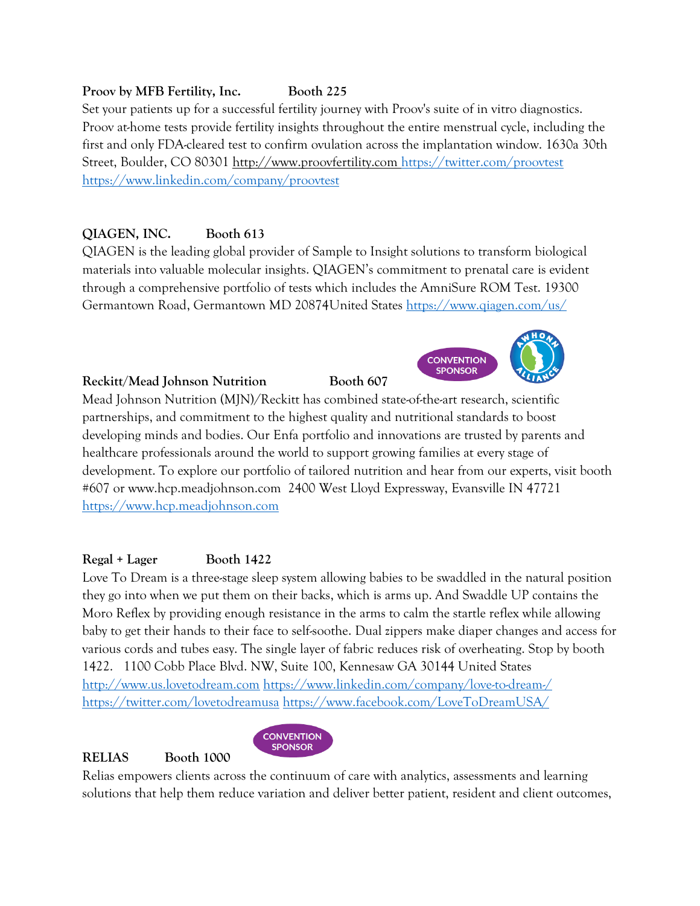## **Proov by MFB Fertility, Inc. Booth 225**

Set your patients up for a successful fertility journey with Proov's suite of in vitro diagnostics. Proov at-home tests provide fertility insights throughout the entire menstrual cycle, including the first and only FDA-cleared test to confirm ovulation across the implantation window. 1630a 30th Street, Boulder, CO 80301 [http://www.proovfertility.com](http://www.proovfertility.com/) <https://twitter.com/proovtest> <https://www.linkedin.com/company/proovtest>

## **QIAGEN, INC. Booth 613**

QIAGEN is the leading global provider of Sample to Insight solutions to transform biological materials into valuable molecular insights. QIAGEN's commitment to prenatal care is evident through a comprehensive portfolio of tests which includes the AmniSure ROM Test. 19300 Germantown Road, Germantown MD 20874United States <https://www.qiagen.com/us/>

#### **Reckitt/Mead Johnson Nutrition Booth 607**

Mead Johnson Nutrition (MJN)/Reckitt has combined state-of-the-art research, scientific partnerships, and commitment to the highest quality and nutritional standards to boost developing minds and bodies. Our Enfa portfolio and innovations are trusted by parents and healthcare professionals around the world to support growing families at every stage of development. To explore our portfolio of tailored nutrition and hear from our experts, visit booth #607 or www.hcp.meadjohnson.com 2400 West Lloyd Expressway, Evansville IN 47721 [https://www.hcp.meadjohnson.com](https://www.hcp.meadjohnson.com/)

#### **Regal + Lager Booth 1422**

Love To Dream is a three-stage sleep system allowing babies to be swaddled in the natural position they go into when we put them on their backs, which is arms up. And Swaddle UP contains the Moro Reflex by providing enough resistance in the arms to calm the startle reflex while allowing baby to get their hands to their face to self-soothe. Dual zippers make diaper changes and access for various cords and tubes easy. The single layer of fabric reduces risk of overheating. Stop by booth 1422. 1100 Cobb Place Blvd. NW, Suite 100, Kennesaw GA 30144 United States [http://www.us.lovetodream.com](http://www.us.lovetodream.com/) <https://www.linkedin.com/company/love-to-dream-/> <https://twitter.com/lovetodreamusa> <https://www.facebook.com/LoveToDreamUSA/>

#### **RELIAS Booth 1000**

Relias empowers clients across the continuum of care with analytics, assessments and learning solutions that help them reduce variation and deliver better patient, resident and client outcomes,



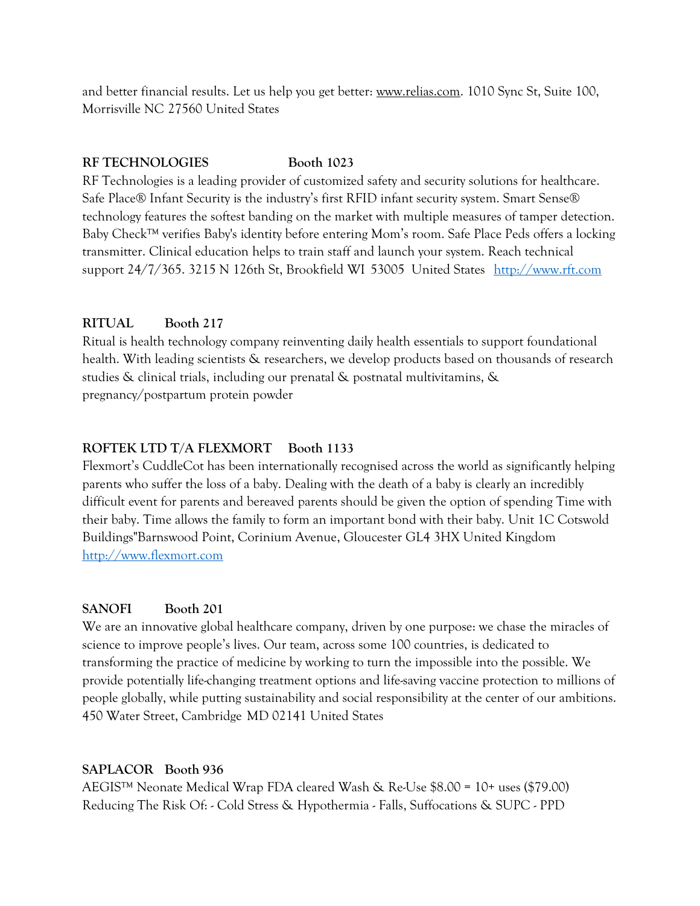and better financial results. Let us help you get better: [www.relias.com.](http://www.relias.com/) 1010 Sync St, Suite 100, Morrisville NC 27560 United States

#### **RF TECHNOLOGIES Booth 1023**

RF Technologies is a leading provider of customized safety and security solutions for healthcare. Safe Place® Infant Security is the industry's first RFID infant security system. Smart Sense® technology features the softest banding on the market with multiple measures of tamper detection. Baby Check™ verifies Baby's identity before entering Mom's room. Safe Place Peds offers a locking transmitter. Clinical education helps to train staff and launch your system. Reach technical support 24/7/365. 3215 N 126th St, Brookfield WI 53005 United States [http://www.rft.com](http://www.rft.com/)

#### **RITUAL Booth 217**

Ritual is health technology company reinventing daily health essentials to support foundational health. With leading scientists & researchers, we develop products based on thousands of research studies & clinical trials, including our prenatal & postnatal multivitamins, & pregnancy/postpartum protein powder

### **ROFTEK LTD T/A FLEXMORT Booth 1133**

Flexmort's CuddleCot has been internationally recognised across the world as significantly helping parents who suffer the loss of a baby. Dealing with the death of a baby is clearly an incredibly difficult event for parents and bereaved parents should be given the option of spending Time with their baby. Time allows the family to form an important bond with their baby. Unit 1C Cotswold Buildings"Barnswood Point, Corinium Avenue, Gloucester GL4 3HX United Kingdom [http://www.flexmort.com](http://www.flexmort.com/)

#### **SANOFI Booth 201**

We are an innovative global healthcare company, driven by one purpose: we chase the miracles of science to improve people's lives. Our team, across some 100 countries, is dedicated to transforming the practice of medicine by working to turn the impossible into the possible. We provide potentially life-changing treatment options and life-saving vaccine protection to millions of people globally, while putting sustainability and social responsibility at the center of our ambitions. 450 Water Street, Cambridge MD 02141 United States

#### **SAPLACOR Booth 936**

AEGIS™ Neonate Medical Wrap FDA cleared Wash & Re-Use \$8.00 = 10+ uses (\$79.00) Reducing The Risk Of: - Cold Stress & Hypothermia - Falls, Suffocations & SUPC - PPD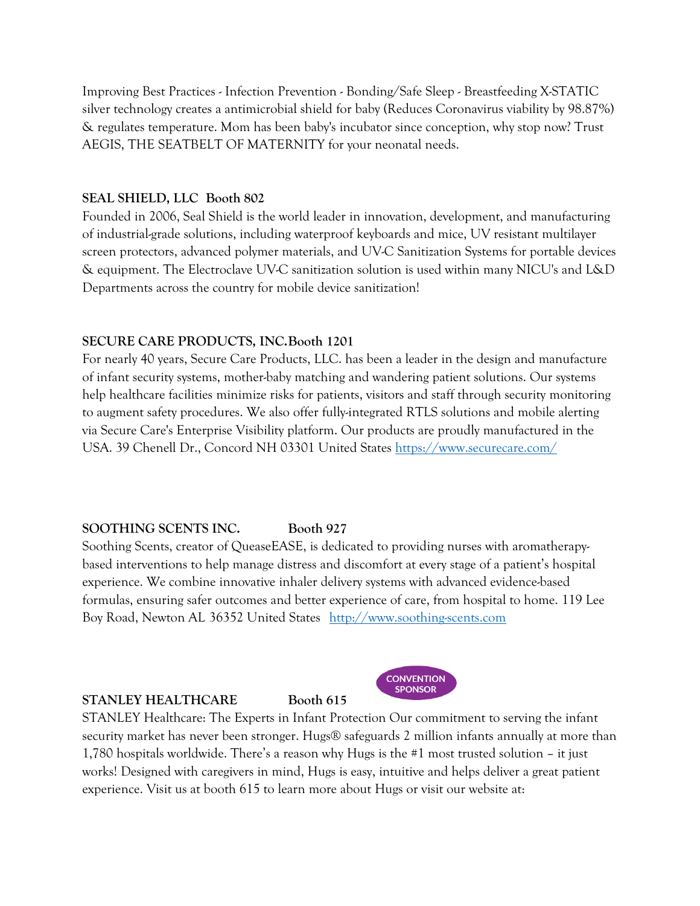Improving Best Practices - Infection Prevention - Bonding/Safe Sleep - Breastfeeding X-STATIC silver technology creates a antimicrobial shield for baby (Reduces Coronavirus viability by 98.87%) & regulates temperature. Mom has been baby's incubator since conception, why stop now? Trust AEGIS, THE SEATBELT OF MATERNITY for your neonatal needs.

#### **SEAL SHIELD, LLC Booth 802**

Founded in 2006, Seal Shield is the world leader in innovation, development, and manufacturing of industrial-grade solutions, including waterproof keyboards and mice, UV resistant multilayer screen protectors, advanced polymer materials, and UV-C Sanitization Systems for portable devices & equipment. The Electroclave UV-C sanitization solution is used within many NICU's and L&D Departments across the country for mobile device sanitization!

#### **SECURE CARE PRODUCTS, INC.Booth 1201**

For nearly 40 years, Secure Care Products, LLC. has been a leader in the design and manufacture of infant security systems, mother-baby matching and wandering patient solutions. Our systems help healthcare facilities minimize risks for patients, visitors and staff through security monitoring to augment safety procedures. We also offer fully-integrated RTLS solutions and mobile alerting via Secure Care's Enterprise Visibility platform. Our products are proudly manufactured in the USA. 39 Chenell Dr., Concord NH 03301 United States<https://www.securecare.com/>

#### **SOOTHING SCENTS INC. Booth 927**

Soothing Scents, creator of QueaseEASE, is dedicated to providing nurses with aromatherapybased interventions to help manage distress and discomfort at every stage of a patient's hospital experience. We combine innovative inhaler delivery systems with advanced evidence-based formulas, ensuring safer outcomes and better experience of care, from hospital to home. 119 Lee Boy Road, Newton AL 36352 United States [http://www.soothing-scents.com](http://www.soothing-scents.com/)

#### **STANLEY HEALTHCARE** Booth 615



STANLEY Healthcare: The Experts in Infant Protection Our commitment to serving the infant security market has never been stronger. Hugs® safeguards 2 million infants annually at more than 1,780 hospitals worldwide. There's a reason why Hugs is the #1 most trusted solution – it just works! Designed with caregivers in mind, Hugs is easy, intuitive and helps deliver a great patient experience. Visit us at booth 615 to learn more about Hugs or visit our website at: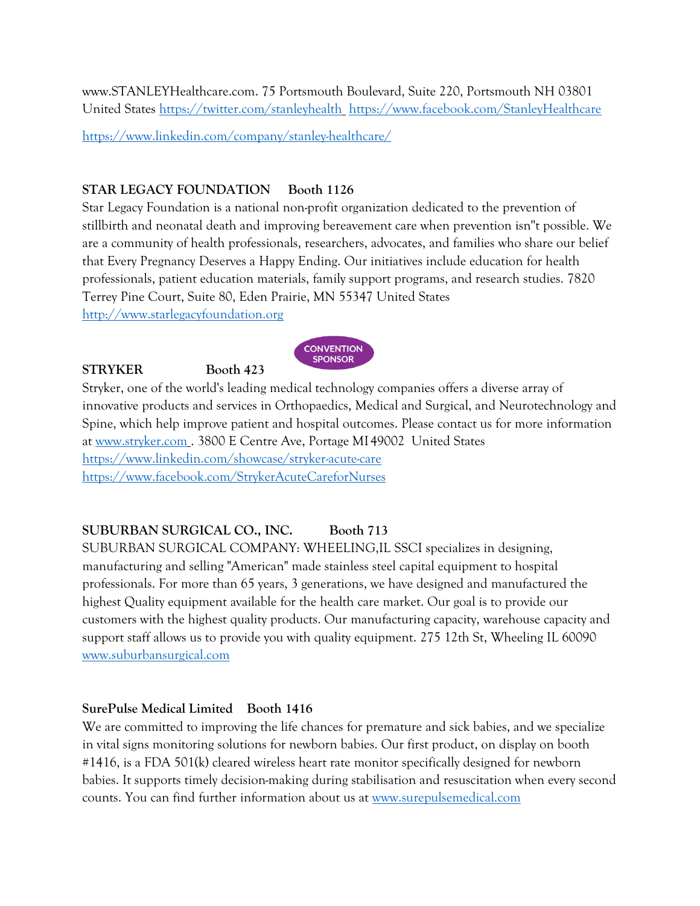[www.STANLEYHealthcare.com.](http://www.stanleyhealthcare.com/) 75 Portsmouth Boulevard, Suite 220, Portsmouth NH 03801 United States <https://twitter.com/stanleyhealth> <https://www.facebook.com/StanleyHealthcare>

<https://www.linkedin.com/company/stanley-healthcare/>

### **STAR LEGACY FOUNDATION Booth 1126**

Star Legacy Foundation is a national non-profit organization dedicated to the prevention of stillbirth and neonatal death and improving bereavement care when prevention isn''t possible. We are a community of health professionals, researchers, advocates, and families who share our belief that Every Pregnancy Deserves a Happy Ending. Our initiatives include education for health professionals, patient education materials, family support programs, and research studies. 7820 Terrey Pine Court, Suite 80, Eden Prairie, MN 55347 United States [http://www.starlegacyfoundation.org](http://www.starlegacyfoundation.org/)

#### **STRYKER Booth 423**



Stryker, one of the world's leading medical technology companies offers a diverse array of innovative products and services in Orthopaedics, Medical and Surgical, and Neurotechnology and Spine, which help improve patient and hospital outcomes. Please contact us for more information at [www.stryker.com](http://www.stryker.com/) . 3800 E Centre Ave, Portage MI49002 United States <https://www.linkedin.com/showcase/stryker-acute-care> <https://www.facebook.com/StrykerAcuteCareforNurses>

## **SUBURBAN SURGICAL CO., INC. Booth 713**

SUBURBAN SURGICAL COMPANY: WHEELING,IL SSCI specializes in designing, manufacturing and selling "American" made stainless steel capital equipment to hospital professionals. For more than 65 years, 3 generations, we have designed and manufactured the highest Quality equipment available for the health care market. Our goal is to provide our customers with the highest quality products. Our manufacturing capacity, warehouse capacity and support staff allows us to provide you with quality equipment. 275 12th St, Wheeling IL 60090 [www.suburbansurgical.com](http://www.suburbansurgical.com/)

#### **SurePulse Medical Limited Booth 1416**

We are committed to improving the life chances for premature and sick babies, and we specialize in vital signs monitoring solutions for newborn babies. Our first product, on display on booth #1416, is a FDA 501(k) cleared wireless heart rate monitor specifically designed for newborn babies. It supports timely decision-making during stabilisation and resuscitation when every second counts. You can find further information about us at [www.surepulsemedical.com](http://www.surepulsemedical.com/)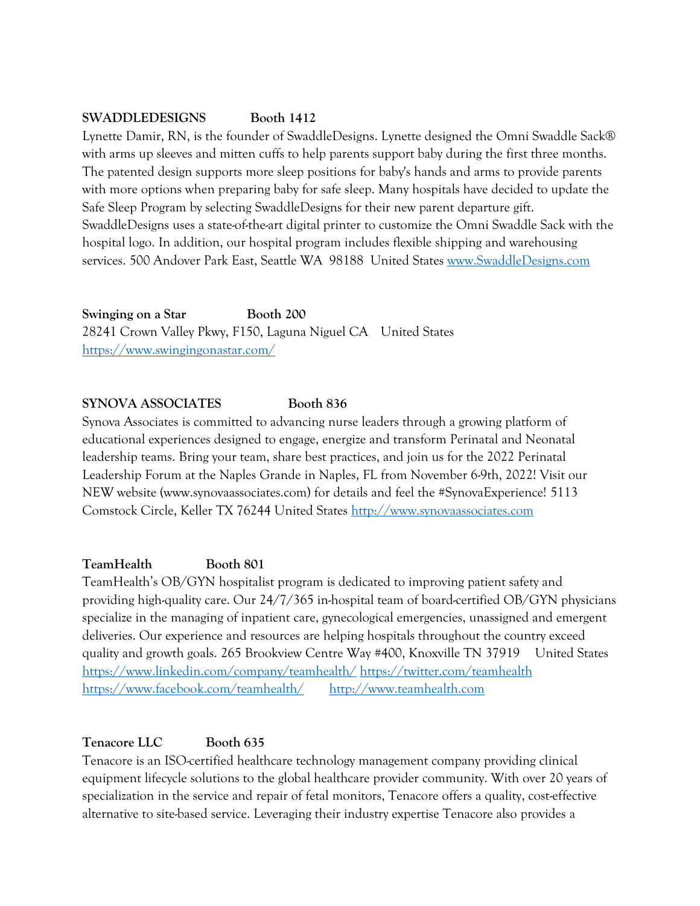#### **SWADDLEDESIGNS Booth 1412**

Lynette Damir, RN, is the founder of SwaddleDesigns. Lynette designed the Omni Swaddle Sack® with arms up sleeves and mitten cuffs to help parents support baby during the first three months. The patented design supports more sleep positions for baby's hands and arms to provide parents with more options when preparing baby for safe sleep. Many hospitals have decided to update the Safe Sleep Program by selecting SwaddleDesigns for their new parent departure gift. SwaddleDesigns uses a state-of-the-art digital printer to customize the Omni Swaddle Sack with the hospital logo. In addition, our hospital program includes flexible shipping and warehousing services. 500 Andover Park East, Seattle WA 98188 United States [www.SwaddleDesigns.com](http://www.swaddledesigns.com/)

**Swinging on a Star Booth 200** 28241 Crown Valley Pkwy, F150, Laguna Niguel CA United States <https://www.swingingonastar.com/>

#### **SYNOVA ASSOCIATES Booth 836**

Synova Associates is committed to advancing nurse leaders through a growing platform of educational experiences designed to engage, energize and transform Perinatal and Neonatal leadership teams. Bring your team, share best practices, and join us for the 2022 Perinatal Leadership Forum at the Naples Grande in Naples, FL from November 6-9th, 2022! Visit our NEW website (www.synovaassociates.com) for details and feel the #SynovaExperience! 5113 Comstock Circle, Keller TX 76244 United States [http://www.synovaassociates.com](http://www.synovaassociates.com/)

#### **TeamHealth Booth 801**

TeamHealth's OB/GYN hospitalist program is dedicated to improving patient safety and providing high-quality care. Our 24/7/365 in-hospital team of board-certified OB/GYN physicians specialize in the managing of inpatient care, gynecological emergencies, unassigned and emergent deliveries. Our experience and resources are helping hospitals throughout the country exceed quality and growth goals. 265 Brookview Centre Way #400, Knoxville TN 37919 United States <https://www.linkedin.com/company/teamhealth/> <https://twitter.com/teamhealth> <https://www.facebook.com/teamhealth/> [http://www.teamhealth.com](http://www.teamhealth.com/)

#### **Tenacore LLC Booth 635**

Tenacore is an ISO-certified healthcare technology management company providing clinical equipment lifecycle solutions to the global healthcare provider community. With over 20 years of specialization in the service and repair of fetal monitors, Tenacore offers a quality, cost-effective alternative to site-based service. Leveraging their industry expertise Tenacore also provides a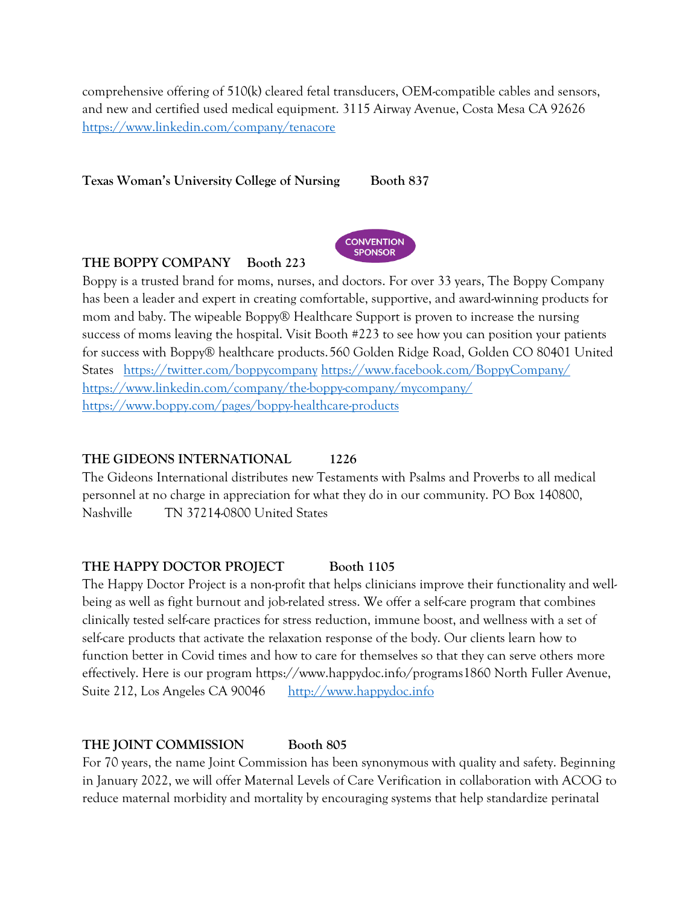comprehensive offering of 510(k) cleared fetal transducers, OEM-compatible cables and sensors, and new and certified used medical equipment. 3115 Airway Avenue, Costa Mesa CA 92626 <https://www.linkedin.com/company/tenacore>

**Texas Woman's University College of Nursing Booth 837** 



# **THE BOPPY COMPANY Booth 223**

Boppy is a trusted brand for moms, nurses, and doctors. For over 33 years, The Boppy Company has been a leader and expert in creating comfortable, supportive, and award-winning products for mom and baby. The wipeable Boppy® Healthcare Support is proven to increase the nursing success of moms leaving the hospital. Visit Booth #223 to see how you can position your patients for success with Boppy® healthcare products.560 Golden Ridge Road, Golden CO 80401 United States <https://twitter.com/boppycompany> <https://www.facebook.com/BoppyCompany/> <https://www.linkedin.com/company/the-boppy-company/mycompany/> <https://www.boppy.com/pages/boppy-healthcare-products>

## **THE GIDEONS INTERNATIONAL 1226**

The Gideons International distributes new Testaments with Psalms and Proverbs to all medical personnel at no charge in appreciation for what they do in our community. PO Box 140800, Nashville TN 37214-0800 United States

## **THE HAPPY DOCTOR PROJECT Booth 1105**

The Happy Doctor Project is a non-profit that helps clinicians improve their functionality and wellbeing as well as fight burnout and job-related stress. We offer a self-care program that combines clinically tested self-care practices for stress reduction, immune boost, and wellness with a set of self-care products that activate the relaxation response of the body. Our clients learn how to function better in Covid times and how to care for themselves so that they can serve others more effectively. Here is our program https://www.happydoc.info/programs1860 North Fuller Avenue, Suite 212, Los Angeles CA 90046 [http://www.happydoc.info](http://www.happydoc.info/)

## **THE JOINT COMMISSION Booth 805**

For 70 years, the name Joint Commission has been synonymous with quality and safety. Beginning in January 2022, we will offer Maternal Levels of Care Verification in collaboration with ACOG to reduce maternal morbidity and mortality by encouraging systems that help standardize perinatal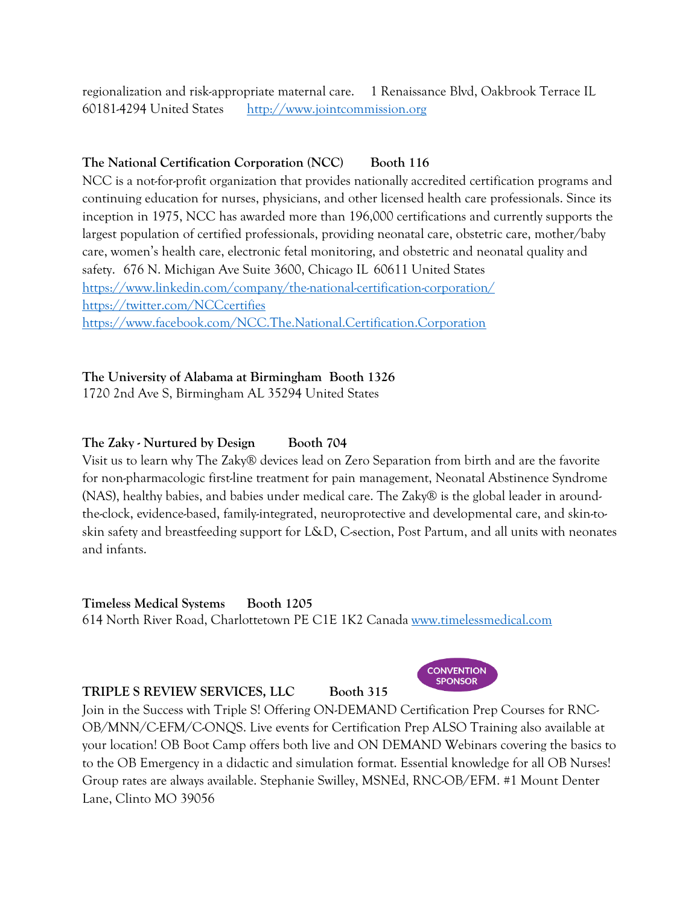regionalization and risk-appropriate maternal care. 1 Renaissance Blvd, Oakbrook Terrace IL 60181-4294 United States [http://www.jointcommission.org](http://www.jointcommission.org/)

## **The National Certification Corporation (NCC)** Booth 116

NCC is a not-for-profit organization that provides nationally accredited certification programs and continuing education for nurses, physicians, and other licensed health care professionals. Since its inception in 1975, NCC has awarded more than 196,000 certifications and currently supports the largest population of certified professionals, providing neonatal care, obstetric care, mother/baby care, women's health care, electronic fetal monitoring, and obstetric and neonatal quality and safety. 676 N. Michigan Ave Suite 3600, Chicago IL 60611 United States <https://www.linkedin.com/company/the-national-certification-corporation/> <https://twitter.com/NCCcertifies> <https://www.facebook.com/NCC.The.National.Certification.Corporation>

#### **The University of Alabama at Birmingham Booth 1326**

1720 2nd Ave S, Birmingham AL 35294 United States

## **The Zaky - Nurtured by Design Booth 704**

Visit us to learn why The Zaky® devices lead on Zero Separation from birth and are the favorite for non-pharmacologic first-line treatment for pain management, Neonatal Abstinence Syndrome (NAS), healthy babies, and babies under medical care. The Zaky® is the global leader in aroundthe-clock, evidence-based, family-integrated, neuroprotective and developmental care, and skin-toskin safety and breastfeeding support for L&D, C-section, Post Partum, and all units with neonates and infants.

**Timeless Medical Systems Booth 1205** 614 North River Road, Charlottetown PE C1E 1K2 Canada [www.timelessmedical.com](http://www.timelessmedical.com/)

## **TRIPLE S REVIEW SERVICES, LLC Booth 315**

Join in the Success with Triple S! Offering ON-DEMAND Certification Prep Courses for RNC-OB/MNN/C-EFM/C-ONQS. Live events for Certification Prep ALSO Training also available at your location! OB Boot Camp offers both live and ON DEMAND Webinars covering the basics to to the OB Emergency in a didactic and simulation format. Essential knowledge for all OB Nurses! Group rates are always available. Stephanie Swilley, MSNEd, RNC-OB/EFM. #1 Mount Denter Lane, Clinto MO 39056

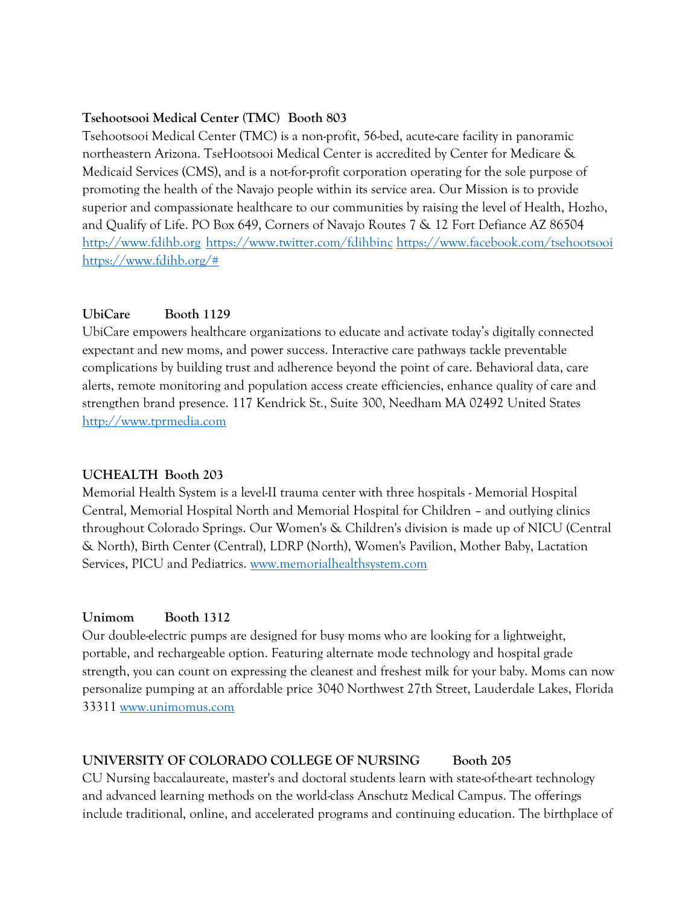#### **Tsehootsooi Medical Center (TMC) Booth 803**

Tsehootsooi Medical Center (TMC) is a non-profit, 56-bed, acute-care facility in panoramic northeastern Arizona. TseHootsooi Medical Center is accredited by Center for Medicare & Medicaid Services (CMS), and is a not-for-profit corporation operating for the sole purpose of promoting the health of the Navajo people within its service area. Our Mission is to provide superior and compassionate healthcare to our communities by raising the level of Health, Hozho, and Qualify of Life. PO Box 649, Corners of Navajo Routes 7 & 12 Fort Defiance AZ 86504 [http://www.fdihb.org](http://www.fdihb.org/) <https://www.twitter.com/fdihbinc> <https://www.facebook.com/tsehootsooi> [https://www.fdihb.org/#](https://www.fdihb.org/)

#### **UbiCare Booth 1129**

UbiCare empowers healthcare organizations to educate and activate today's digitally connected expectant and new moms, and power success. Interactive care pathways tackle preventable complications by building trust and adherence beyond the point of care. Behavioral data, care alerts, remote monitoring and population access create efficiencies, enhance quality of care and strengthen brand presence. 117 Kendrick St., Suite 300, Needham MA 02492 United States [http://www.tprmedia.com](http://www.tprmedia.com/)

#### **UCHEALTH Booth 203**

Memorial Health System is a level-II trauma center with three hospitals - Memorial Hospital Central, Memorial Hospital North and Memorial Hospital for Children – and outlying clinics throughout Colorado Springs. Our Women's & Children's division is made up of NICU (Central & North), Birth Center (Central), LDRP (North), Women's Pavilion, Mother Baby, Lactation Services, PICU and Pediatrics. [www.memorialhealthsystem.com](http://www.memorialhealthsystem.com/)

#### **Unimom Booth 1312**

Our double-electric pumps are designed for busy moms who are looking for a lightweight, portable, and rechargeable option. Featuring alternate mode technology and hospital grade strength, you can count on expressing the cleanest and freshest milk for your baby. Moms can now personalize pumping at an affordable price 3040 Northwest 27th Street, Lauderdale Lakes, Florida 33311 [www.unimomus.com](http://www.unimomus.com/)

#### **UNIVERSITY OF COLORADO COLLEGE OF NURSING Booth 205**

CU Nursing baccalaureate, master's and doctoral students learn with state-of-the-art technology and advanced learning methods on the world-class Anschutz Medical Campus. The offerings include traditional, online, and accelerated programs and continuing education. The birthplace of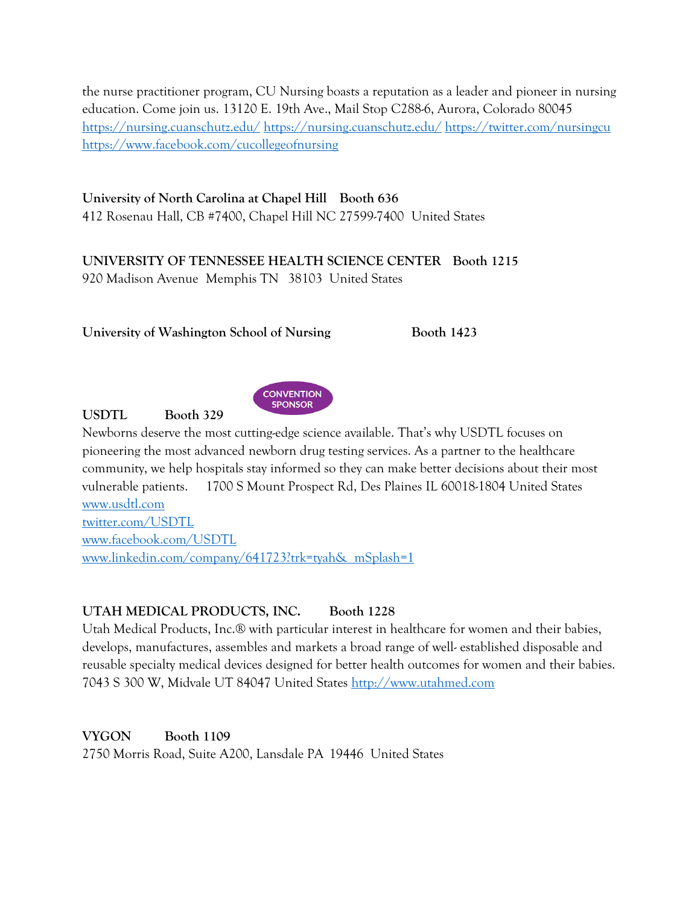the nurse practitioner program, CU Nursing boasts a reputation as a leader and pioneer in nursing education. Come join us. 13120 E. 19th Ave., Mail Stop C288-6, Aurora, Colorado 80045 <https://nursing.cuanschutz.edu/> <https://nursing.cuanschutz.edu/> <https://twitter.com/nursingcu> <https://www.facebook.com/cucollegeofnursing>

# **University of North Carolina at Chapel Hill Booth 636**

412 Rosenau Hall, CB #7400, Chapel Hill NC 27599-7400 United States

# **UNIVERSITY OF TENNESSEE HEALTH SCIENCE CENTER Booth 1215** 920 Madison Avenue Memphis TN 38103 United States

**CONVENTION SPONSOR** 

**University of Washington School of Nursing Booth 1423**



Newborns deserve the most cutting-edge science available. That's why USDTL focuses on pioneering the most advanced newborn drug testing services. As a partner to the healthcare community, we help hospitals stay informed so they can make better decisions about their most vulnerable patients. 1700 S Mount Prospect Rd, Des Plaines IL 60018-1804 United States [www.usdtl.com](http://www.usdtl.com/) [twitter.com/USDTL](https://twitter.com/USDTL)

[www.facebook.com/USDTL](http://www.facebook.com/USDTL) [www.linkedin.com/company/641723?trk=tyah&\\_mSplash=1](http://www.linkedin.com/company/641723?trk=tyah&_mSplash=1)

# **UTAH MEDICAL PRODUCTS, INC. Booth 1228**

Utah Medical Products, Inc.® with particular interest in healthcare for women and their babies, develops, manufactures, assembles and markets a broad range of well- established disposable and reusable specialty medical devices designed for better health outcomes for women and their babies. 7043 S 300 W, Midvale UT 84047 United States [http://www.utahmed.com](http://www.utahmed.com/)

**VYGON Booth 1109** 2750 Morris Road, Suite A200, Lansdale PA 19446 United States